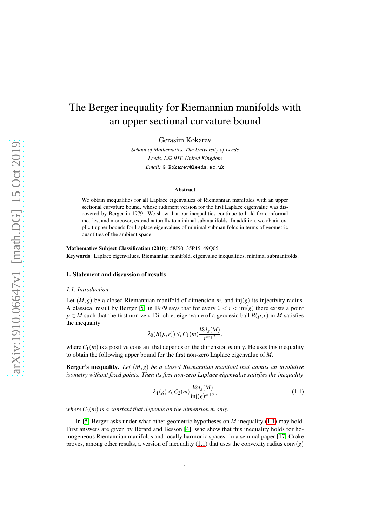# The Berger inequality for Riemannian manifolds with an upper sectional curvature bound

Gerasim Kokarev

*School of Mathematics, The University of Leeds Leeds, LS2 9JT, United Kingdom Email:* G.Kokarev@leeds.ac.uk

#### Abstract

We obtain inequalities for all Laplace eigenvalues of Riemannian manifolds with an upper sectional curvature bound, whose rudiment version for the first Laplace eigenvalue was discovered by Berger in 1979. We show that our inequalities continue to hold for conformal metrics, and moreover, extend naturally to minimal submanifolds. In addition, we obtain explicit upper bounds for Laplace eigenvalues of minimal submanifolds in terms of geometric quantities of the ambient space.

Mathematics Subject Classification (2010): 58J50, 35P15, 49Q05 Keywords: Laplace eigenvalues, Riemannian manifold, eigenvalue inequalities, minimal submanifolds.

#### 1. Statement and discussion of results

#### *1.1. Introduction*

Let  $(M, g)$  be a closed Riemannian manifold of dimension *m*, and inj(*g*) its injectivity radius. A classical result by Berger [\[5\]](#page-26-0) in 1979 says that for every  $0 < r < \text{inj}(g)$  there exists a point  $p \in M$  such that the first non-zero Dirichlet eigenvalue of a geodesic ball  $B(p,r)$  in M satisfies the inequality

$$
\lambda_0(B(p,r))\leqslant C_1(m)\frac{\text{Vol}_g(M)}{r^{m+2}},
$$

where  $C_1(m)$  is a positive constant that depends on the dimension *m* only. He uses this inequality to obtain the following upper bound for the first non-zero Laplace eigenvalue of *M*.

Berger's inequality. *Let* (*M*,*g*) *be a closed Riemannian manifold that admits an involutive isometry without fixed points. Then its first non-zero Laplace eigenvalue satisfies the inequality*

<span id="page-0-0"></span>
$$
\lambda_1(g) \leqslant C_2(m) \frac{\text{Vol}_g(M)}{\text{inj}(g)^{m+2}},\tag{1.1}
$$

*where*  $C_2(m)$  *is a constant that depends on the dimension m only.* 

In [\[5\]](#page-26-0) Berger asks under what other geometric hypotheses on *M* inequality [\(1.1\)](#page-0-0) may hold. First answers are given by Bérard and Besson [\[4\]](#page-26-1), who show that this inequality holds for homogeneous Riemannian manifolds and locally harmonic spaces. In a seminal paper [\[17\]](#page-26-2) Croke proves, among other results, a version of inequality  $(1.1)$  that uses the convexity radius conv $(g)$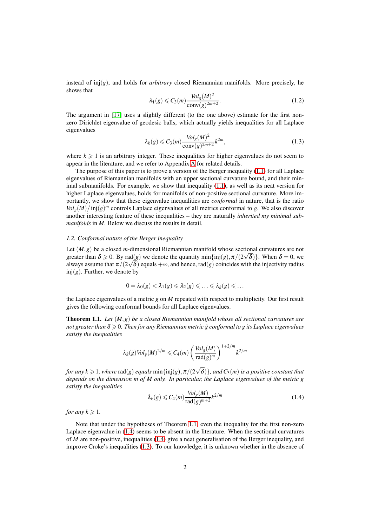instead of  $inj(g)$ , and holds for *arbitrary* closed Riemannian manifolds. More precisely, he shows that

$$
\lambda_1(g) \leqslant C_3(m) \frac{\text{Vol}_g(M)^2}{\text{conv}(g)^{2m+2}}.
$$
\n(1.2)

The argument in [\[17\]](#page-26-2) uses a slightly different (to the one above) estimate for the first nonzero Dirichlet eigenvalue of geodesic balls, which actually yields inequalities for all Laplace eigenvalues

<span id="page-1-2"></span>
$$
\lambda_k(g) \leqslant C_3(m) \frac{\text{Vol}_g(M)^2}{\text{conv}(g)^{2m+2}} k^{2m},\tag{1.3}
$$

where  $k \geq 1$  is an arbitrary integer. These inequalities for higher eigenvalues do not seem to appear in the literature, and we refer to Appendix [A](#page-25-0) for related details.

The purpose of this paper is to prove a version of the Berger inequality [\(1.1\)](#page-0-0) for all Laplace eigenvalues of Riemannian manifolds with an upper sectional curvature bound, and their minimal submanifolds. For example, we show that inequality  $(1.1)$ , as well as its neat version for higher Laplace eigenvalues, holds for manifolds of non-positive sectional curvature. More importantly, we show that these eigenvalue inequalities are *conformal* in nature, that is the ratio  $Vol_g(M)/\text{inj}(g)^m$  controls Laplace eigenvalues of all metrics conformal to *g*. We also discover another interesting feature of these inequalities – they are naturally *inherited my minimal submanifolds* in *M*. Below we discuss the results in detail.

# *1.2. Conformal nature of the Berger inequality*

Let (*M*,*g*) be a closed *m*-dimensional Riemannian manifold whose sectional curvatures are not greater than  $\delta \ge 0$ . By rad(*g*) we denote the quantity min{inj(*g*),  $\pi/(2\sqrt{\delta})$ }. When  $\delta = 0$ , we always assume that  $\pi/(2\sqrt{\delta})$  equals + $\infty$ , and hence, rad(*g*) coincides with the injectivity radius  $inj(g)$ . Further, we denote by

$$
0 = \lambda_0(g) < \lambda_1(g) \leqslant \lambda_2(g) \leqslant \ldots \leqslant \lambda_k(g) \leqslant \ldots
$$

the Laplace eigenvalues of a metric *g* on *M* repeated with respect to multiplicity. Our first result gives the following conformal bounds for all Laplace eigenvalues.

<span id="page-1-0"></span>Theorem 1.1. *Let* (*M*,*g*) *be a closed Riemannian manifold whose all sectional curvatures are not greater than*  $\delta \geqslant 0$ *. Then for any Riemannian metric*  $\tilde{g}$  conformal to g its Laplace eigenvalues *satisfy the inequalities*

$$
\lambda_k(\tilde{g}) Vol_{\tilde{g}}(M)^{2/m} \leqslant C_4(m) \left( \frac{Vol_g(M)}{\operatorname{rad}(g)^m} \right)^{1+2/m} k^{2/m}
$$

for any  $k\geqslant 1$ , where  $\mathrm{rad}(g)$  equals  $\min\{\mathrm{inj}(g),\pi/(2\sqrt{\delta})\}$ , and  $C_3(m)$  is a positive constant that *depends on the dimension m of M only. In particular, the Laplace eigenvalues of the metric g satisfy the inequalities*

<span id="page-1-1"></span>
$$
\lambda_k(g) \leqslant C_4(m) \frac{\text{Vol}_g(M)}{\text{rad}(g)^{m+2}} k^{2/m} \tag{1.4}
$$

*for any*  $k \geq 1$ *.* 

Note that under the hypotheses of Theorem [1.1,](#page-1-0) even the inequality for the first non-zero Laplace eigenvalue in [\(1.4\)](#page-1-1) seems to be absent in the literature. When the sectional curvatures of *M* are non-positive, inequalities [\(1.4\)](#page-1-1) give a neat generalisation of the Berger inequality, and improve Croke's inequalities [\(1.3\)](#page-1-2). To our knowledge, it is unknown whether in the absence of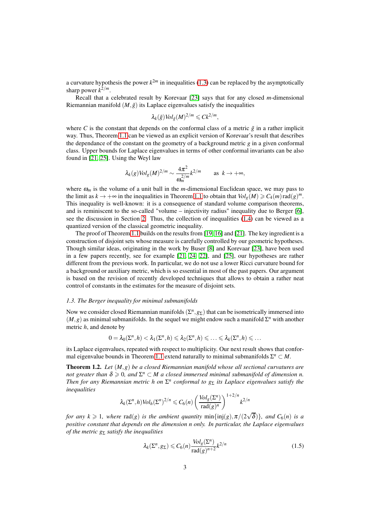a curvature hypothesis the power  $k^{2m}$  in inequalities [\(1.3\)](#page-1-2) can be replaced by the asymptotically sharp power  $k^{2/m}$ .

Recall that a celebrated result by Korevaar [\[23\]](#page-27-0) says that for any closed *m*-dimensional Riemannian manifold  $(M, \tilde{g})$  its Laplace eigenvalues satisfy the inequalities

$$
\lambda_k(\tilde{g}) Vol_{\tilde{g}}(M)^{2/m} \leqslant C k^{2/m},
$$

where *C* is the constant that depends on the conformal class of a metric  $\tilde{g}$  in a rather implicit way. Thus, Theorem [1.1](#page-1-0) can be viewed as an explicit version of Korevaar's result that describes the dependance of the constant on the geometry of a background metric *g* in a given conformal class. Upper bounds for Laplace eigenvalues in terms of other conformal invariants can be also found in [\[21,](#page-27-1) [25\]](#page-27-2). Using the Weyl law

$$
\lambda_k(g) \operatorname{Vol}_g(M)^{2/m} \sim \frac{4\pi^2}{\omega_m^{2/m}} k^{2/m} \quad \text{as } k \to +\infty,
$$

where  $\omega_m$  is the volume of a unit ball in the *m*-dimensional Euclidean space, we may pass to the limit as  $k \to +\infty$  in the inequalities in Theorem [1.1](#page-1-0) to obtain that  $Vol_g(M) \ge C_4(m) \text{ rad}(g)^m$ . This inequality is well-known: it is a consequence of standard volume comparison theorems, and is reminiscent to the so-called "volume – injectivity radius" inequality due to Berger [\[6\]](#page-26-3), see the discussion in Section [2.](#page-6-0) Thus, the collection of inequalities [\(1.4\)](#page-1-1) can be viewed as a quantized version of the classical geometric inequality.

The proof of Theorem [1.1](#page-1-0) builds on the results from [\[19,](#page-27-3) [16\]](#page-26-4) and [\[21\]](#page-27-1). The key ingredient is a construction of disjoint sets whose measure is carefully controlled by our geometric hypotheses. Though similar ideas, originating in the work by Buser [\[8\]](#page-26-5) and Korevaar [\[23\]](#page-27-0), have been used in a few papers recently, see for example [\[21,](#page-27-1) [24,](#page-27-4) [22\]](#page-27-5), and [\[25\]](#page-27-2), our hypotheses are rather different from the previous work. In particular, we do not use a lower Ricci curvature bound for a background or auxiliary metric, which is so essential in most of the past papers. Our argument is based on the revision of recently developed techniques that allows to obtain a rather neat control of constants in the estimates for the measure of disjoint sets.

#### *1.3. The Berger inequality for minimal submanifolds*

Now we consider closed Riemannian manifolds  $(\Sigma^n, g_{\Sigma})$  that can be isometrically immersed into  $(M, g)$  as minimal submanifolds. In the sequel we might endow such a manifold  $\Sigma<sup>n</sup>$  with another metric *h*, and denote by

$$
0 = \lambda_0(\Sigma^n, h) < \lambda_1(\Sigma^n, h) \leqslant \lambda_2(\Sigma^n, h) \leqslant \ldots \leqslant \lambda_k(\Sigma^n, h) \leqslant \ldots
$$

its Laplace eigenvalues, repeated with respect to multiplicity. Our next result shows that confor-mal eigenvalue bounds in Theorem [1.1](#page-1-0) extend naturally to minimal submanifolds  $\Sigma^n \subset M$ .

<span id="page-2-1"></span>Theorem 1.2. *Let* (*M*,*g*) *be a closed Riemannian manifold whose all sectional curvatures are not greater than*  $\delta \geqslant 0$ , and  $\Sigma^n \subset M$  a closed immersed minimal submanifold of dimension n. *Then for any Riemannian metric h on* Σ *n conformal to g*<sup>Σ</sup> *its Laplace eigenvalues satisfy the inequalities*

$$
\lambda_k(\Sigma^n, h) \, Vol_h(\Sigma^n)^{2/n} \leqslant C_6(n) \left( \frac{Vol_g(\Sigma^n)}{\text{rad}(g)^n} \right)^{1+2/n} k^{2/n}
$$

*for any k*  $\geq$  1*, where* rad(*g*) *is the ambient quantity* min{inj(*g*),  $\pi/(2\sqrt{\delta})$ }*, and*  $C_6(n)$  *is a positive constant that depends on the dimension n only. In particular, the Laplace eigenvalues of the metric g<sub>Σ</sub> satisfy the inequalities* 

<span id="page-2-0"></span>
$$
\lambda_k(\Sigma^n, g_{\Sigma}) \leqslant C_6(n) \frac{\text{Vol}_g(\Sigma^n)}{\text{rad}(g)^{n+2}} k^{2/n} \tag{1.5}
$$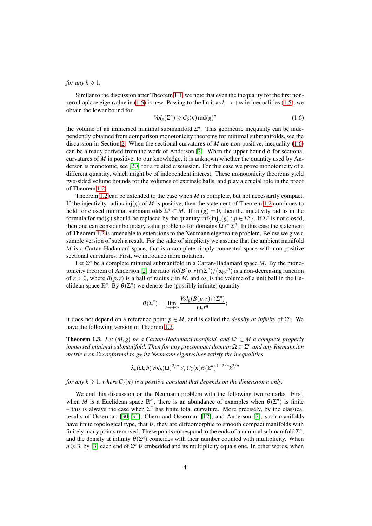## *for any*  $k \geq 1$ *.*

Similar to the discussion after Theorem [1.1,](#page-1-0) we note that even the inequality for the first non-zero Laplace eigenvalue in [\(1.5\)](#page-2-0) is new. Passing to the limit as  $k \to +\infty$  in inequalities [\(1.5\)](#page-2-0), we obtain the lower bound for

<span id="page-3-0"></span>
$$
Vol_g(\Sigma^n) \geqslant C_6(n) \operatorname{rad}(g)^n \tag{1.6}
$$

the volume of an immersed minimal submanifold  $\Sigma<sup>n</sup>$ . This geometric inequality can be independently obtained from comparison monotonicity theorems for minimal submanifolds, see the discussion in Section [2.](#page-6-0) When the sectional curvatures of *M* are non-positive, inequality [\(1.6\)](#page-3-0) can be already derived from the work of Anderson [\[2\]](#page-26-6). When the upper bound  $\delta$  for sectional curvatures of *M* is positive, to our knowledge, it is unknown whether the quantity used by Anderson is monotonic, see [\[20\]](#page-27-6) for a related discussion. For this case we prove monotonicity of a different quantity, which might be of independent interest. These monotonicity theorems yield two-sided volume bounds for the volumes of extrinsic balls, and play a crucial role in the proof of Theorem [1.2.](#page-2-1)

Theorem [1.2](#page-2-1) can be extended to the case when *M* is complete, but not necessarily compact. If the injectivity radius inj $(g)$  of *M* is positive, then the statement of Theorem [1.2](#page-2-1) continues to hold for closed minimal submanifolds  $\Sigma^n \subset M$ . If inj $(g) = 0$ , then the injectivity radius in the formula for rad(*g*) should be replaced by the quantity  $\inf\{\text{inj}_p(g) : p \in \Sigma^n\}$ . If  $\Sigma^n$  is not closed, then one can consider boundary value problems for domains  $\Omega \subset \Sigma^n$ . In this case the statement of Theorem [1.2](#page-2-1) is amenable to extensions to the Neumann eigenvalue problem. Below we give a sample version of such a result. For the sake of simplicity we assume that the ambient manifold *M* is a Cartan-Hadamard space, that is a complete simply-connected space with non-positive sectional curvatures. First, we introduce more notation.

Let  $\Sigma<sup>n</sup>$  be a complete minimal submanifold in a Cartan-Hadamard space  $M$ . By the mono-tonicity theorem of Anderson [\[2\]](#page-26-6) the ratio  $Vol(B(p, r) \cap \Sigma^n)/(\omega_n r^n)$  is a non-decreasing function of  $r > 0$ , where  $B(p, r)$  is a ball of radius r in M, and  $\omega_n$  is the volume of a unit ball in the Euclidean space  $\mathbb{R}^n$ . By  $\theta(\Sigma^n)$  we denote the (possibly infinite) quantity

$$
\theta(\Sigma^n)=\lim_{r\to+\infty}\frac{\text{Vol}_g(B(p,r)\cap\Sigma^n)}{\omega_nr^n};
$$

it does not depend on a reference point  $p \in M$ , and is called the *density at infinity* of  $\Sigma^n$ . We have the following version of Theorem [1.2.](#page-2-1)

<span id="page-3-1"></span>**Theorem 1.3.** *Let*  $(M, g)$  *be a Cartan-Hadamard manifold, and*  $\Sigma^n \subset M$  *a complete properly*  $i$ mmersed minimal submanifold. Then for any precompact domain  $\Omega \subset \Sigma^n$  and any Riemannian *metric h on*  $\Omega$  *conformal to*  $g_{\Sigma}$  *its Neumann eigenvalues satisfy the inequalities* 

$$
\lambda_k(\Omega,h) \text{Vol}_h(\Omega)^{2/n} \leqslant C_7(n) \theta(\Sigma^n)^{1+2/n} k^{2/n}
$$

*for any k*  $\geq$  1*, where C<sub>7</sub>(n) is a positive constant that depends on the dimension n only.* 

We end this discussion on the Neumann problem with the following two remarks. First, when *M* is a Euclidean space  $\mathbb{R}^m$ , there is an abundance of examples when  $\theta(\Sigma^n)$  is finite  $-$  this is always the case when  $\Sigma<sup>n</sup>$  has finite total curvature. More precisely, by the classical results of Osserman [\[30,](#page-27-7) [31\]](#page-27-8), Chern and Osserman [\[12\]](#page-26-7), and Anderson [\[3\]](#page-26-8), such manifolds have finite topological type, that is, they are diffeomorphic to smooth compact manifolds with finitely many points removed. These points correspond to the ends of a minimal submanifold  $\Sigma<sup>n</sup>$ , and the density at infinity  $\theta(\Sigma^n)$  coincides with their number counted with multiplicity. When  $n \geq 3$ , by [\[3\]](#page-26-8) each end of  $\Sigma^n$  is embedded and its multiplicity equals one. In other words, when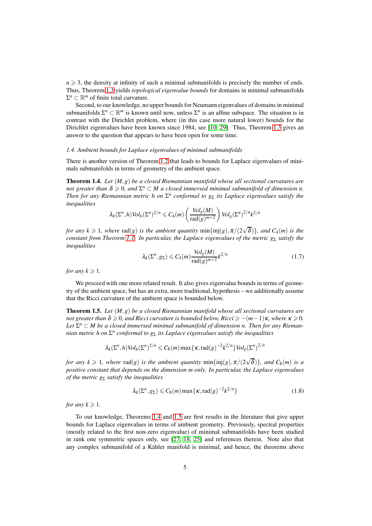$n \geqslant 3$ , the density at infinity of such a minimal submanifolds is precisely the number of ends. Thus, Theorem [1.3](#page-3-1) yields *topological eigenvalue bounds* for domains in minimal submanifolds  $\Sigma^n \subset \mathbb{R}^m$  of finite total curvature.

Second, to our knowledge, no upper bounds for Neumann eigenvalues of domains in minimal submanifolds  $\Sigma^n \subset \mathbb{R}^m$  is known until now, unless  $\Sigma^n$  is an affine subspace. The situation is in contrast with the Dirichlet problem, where (in this case more natural lower) bounds for the Dirichlet eigenvalues have been known since 1984, see [\[10,](#page-26-9) [29\]](#page-27-9). Thus, Theorem [1.3](#page-3-1) gives an answer to the question that appears to have been open for some time.

#### *1.4. Ambient bounds for Laplace eigenvalues of minimal submanifolds*

There is another version of Theorem [1.2](#page-2-1) that leads to bounds for Laplace eigenvalues of minimals submanifolds in terms of geometry of the ambient space.

<span id="page-4-0"></span>Theorem 1.4. *Let* (*M*,*g*) *be a closed Riemannian manifold whose all sectional curvatures are not greater than*  $\delta \geqslant 0$ , and  $\Sigma^n \subset M$  a closed immersed minimal submanifold of dimension n. *Then for any Riemannian metric h on* Σ *n conformal to g*<sup>Σ</sup> *its Laplace eigenvalues satisfy the inequalities*

$$
\lambda_k(\Sigma^n, h) \text{Vol}_h(\Sigma^n)^{2/n} \leqslant C_4(m) \left( \frac{\text{Vol}_g(M)}{\text{rad}(g)^{m+2}} \right) \text{Vol}_g(\Sigma^n)^{2/n} k^{2/n}
$$

*for any*  $k \geqslant 1$ *, where*  $\text{rad}(g)$  *is the ambient quantity*  $\min\{\text{inj}(g), \pi/(2\sqrt{\delta})\}$ *, and*  $C_4(m)$  *is the constant from Theorem [1.1.](#page-1-0) In particular, the Laplace eigenvalues of the metric g*<sup>Σ</sup> *satisfy the inequalities*

$$
\lambda_k(\Sigma^n, g_{\Sigma}) \leqslant C_4(m) \frac{\text{Vol}_g(M)}{\text{rad}(g)^{m+2}} k^{2/n} \tag{1.7}
$$

*for any*  $k \geq 1$ *.* 

We proceed with one more related result. It also gives eigenvalue bounds in terms of geometry of the ambient space, but has an extra, more traditional, hypothesis – we additionally assume that the Ricci curvature of the ambient space is bounded below.

<span id="page-4-1"></span>Theorem 1.5. *Let* (*M*,*g*) *be a closed Riemannian manifold whose all sectional curvatures are not greater than*  $\delta \geq 0$ *, and Ricci curvature is bounded below, Ricci*  $\geq -(m-1)\kappa$ *, where*  $\kappa \geq 0$ *.* Let  $\Sigma^n \subset M$  be a closed immersed minimal submanifold of dimension n. Then for any Rieman*nian metric h on* Σ *n conformal to g*<sup>Σ</sup> *its Laplace eigenvalues satisfy the inequalities*

$$
\lambda_k(\Sigma^n, h) \, Vol_h(\Sigma^n)^{2/n} \leqslant C_8(m) \max\{\kappa, \text{rad}(g)^{-2} k^{2/n}\} \, Vol_g(\Sigma^n)^{2/n}
$$

*for any k*  $\geq$  1*, where*  $rad(g)$  *is the ambient quantity*  $min\{inj(g), \pi/(2\sqrt{\delta})\}$ *, and*  $C_8(m)$  *is a positive constant that depends on the dimension m only. In particular, the Laplace eigenvalues of the metric g*<sup>Σ</sup> *satisfy the inequalities*

$$
\lambda_k(\Sigma^n, g_{\Sigma}) \leq C_8(m) \max\{\kappa, \text{rad}(g)^{-2} k^{2/n}\}\tag{1.8}
$$

*for any*  $k \geq 1$ *.* 

To our knowledge, Theorems [1.4](#page-4-0) and [1.5](#page-4-1) are first results in the literature that give upper bounds for Laplace eigenvalues in terms of ambient geometry. Previously, spectral properties (mostly related to the first non-zero eigenvalue) of minimal submanifolds have been studied in rank one symmetric spaces only, see [\[27,](#page-27-10) [18,](#page-26-10) [25\]](#page-27-2) and references therein. Note also that any complex submanifold of a Kähler manifold is minimal, and hence, the theorems above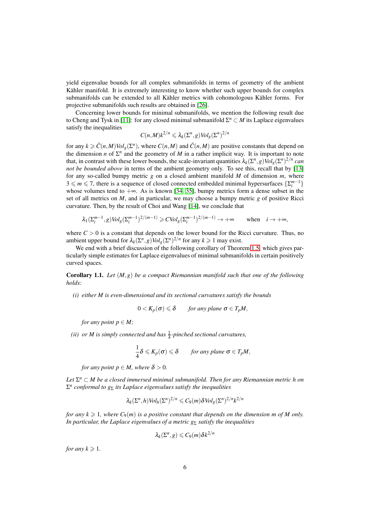yield eigenvalue bounds for all complex submanifolds in terms of geometry of the ambient Kähler manifold. It is extremely interesting to know whether such upper bounds for complex submanifolds can be extended to all Kähler metrics with cohomologous Kähler forms. For projective submanifolds such results are obtained in [\[26\]](#page-27-11).

Concerning lower bounds for minimal submanifolds, we mention the following result due to Cheng and Tysk in [\[11\]](#page-26-11): for any closed minimal submanifold  $\Sigma^n \subset M$  its Laplace eigenvalues satisfy the inequalities

$$
C(n,M)k^{2/n} \leq \lambda_k(\Sigma^n, g) \text{Vol}_g(\Sigma^n)^{2/n}
$$

for any  $k \ge \bar{C}(n, M) \cdot Vol_g(\Sigma^n)$ , where  $C(n, M)$  and  $\bar{C}(n, M)$  are positive constants that depend on the dimension *n* of  $\Sigma^n$  and the geometry of *M* in a rather implicit way. It is important to note that, in contrast with these lower bounds, the scale-invariant quantities  $\lambda_k(\Sigma^n, g) Vol_g(\Sigma^n)^{2/n}$  can *not be bounded above* in terms of the ambient geometry only. To see this, recall that by [\[13\]](#page-26-12) for any so-called bumpy metric *g* on a closed ambient manifold *M* of dimension *m*, where  $3 \leq m \leq 7$ , there is a sequence of closed connected embedded minimal hypersurfaces  $\{\sum_{i=1}^{m-1}\}$ whose volumes tend to  $+\infty$ . As is known [\[34,](#page-27-12) [35\]](#page-27-13), bumpy metrics form a dense subset in the set of all metrics on *M*, and in particular, we may choose a bumpy metric *g* of positive Ricci curvature. Then, by the result of Choi and Wang [\[14\]](#page-26-13), we conclude that

$$
\lambda_1(\Sigma_i^{m-1},g) \text{Vol}_g(\Sigma_i^{m-1})^{2/(m-1)} \geq C \text{Vol}_g(\Sigma_i^{m-1})^{2/(m-1)} \to +\infty \quad \text{when} \quad i \to +\infty,
$$

where  $C > 0$  is a constant that depends on the lower bound for the Ricci curvature. Thus, no ambient upper bound for  $\lambda_k(\Sigma^n, g) Vol_g(\Sigma^n)^{2/n}$  for any  $k \geq 1$  may exist.

We end with a brief discussion of the following corollary of Theorem [1.5,](#page-4-1) which gives particularly simple estimates for Laplace eigenvalues of minimal submanifolds in certain positively curved spaces.

<span id="page-5-0"></span>Corollary 1.1. *Let* (*M*,*g*) *be a compact Riemannian manifold such that one of the following holds:*

*(i) either M is even-dimensional and its sectional curvatures satisfy the bounds*

$$
0 < K_p(\sigma) \leq \delta \quad \text{for any plane } \sigma \in T_pM,
$$

*for any point*  $p \in M$ *;* 

(*ii*) or *M* is simply connected and has  $\frac{1}{4}$ -pinched sectional curvatures,

$$
\frac{1}{4}\delta \leqslant K_p(\sigma) \leqslant \delta \quad \text{for any plane } \sigma \in T_pM,
$$

*for any point*  $p \in M$ *, where*  $\delta > 0$ *.* 

*Let* Σ *<sup>n</sup>* <sup>⊂</sup> *M be a closed immersed minimal submanifold. Then for any Riemannian metric h on* Σ *n conformal to g*<sup>Σ</sup> *its Laplace eigenvalues satisfy the inequalities*

$$
\lambda_k(\Sigma^n, h) Vol_h(\Sigma^n)^{2/n} \leqslant C_9(m) \delta Vol_g(\Sigma^n)^{2/n} k^{2/n}
$$

*for any k*  $\geq$  1*, where*  $C_9(m)$  *is a positive constant that depends on the dimension m of M only. In particular, the Laplace eigenvalues of a metric g<sub>Σ</sub> satisfy the inequalities* 

$$
\lambda_k(\Sigma^n, g) \leqslant C_9(m) \delta k^{2/n}
$$

*for any*  $k \geq 1$ *.*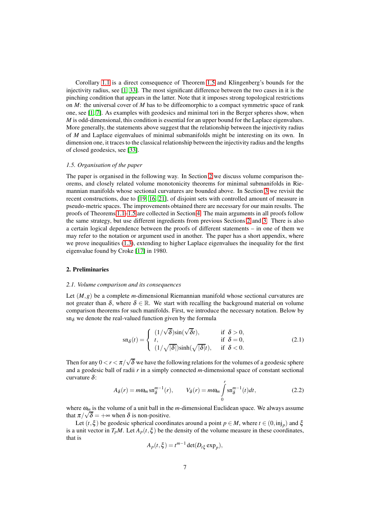Corollary [1.1](#page-5-0) is a direct consequence of Theorem [1.5](#page-4-1) and Klingenberg's bounds for the injectivity radius, see [\[1,](#page-26-14) [33\]](#page-27-14). The most significant difference between the two cases in it is the pinching condition that appears in the latter. Note that it imposes strong topological restrictions on *M*: the universal cover of *M* has to be diffeomorphic to a compact symmetric space of rank one, see [\[1,](#page-26-14) [7\]](#page-26-15). As examples with geodesics and minimal tori in the Berger spheres show, when *M* is odd-dimensional, this condition is essential for an upper bound for the Laplace eigenvalues. More generally, the statements above suggest that the relationship between the injectivity radius of *M* and Laplace eigenvalues of minimal submanifolds might be interesting on its own. In dimension one, it traces to the classical relationship between the injectivity radius and the lengths of closed geodesics, see [\[33\]](#page-27-14).

## *1.5. Organisation of the paper*

The paper is organised in the following way. In Section [2](#page-6-0) we discuss volume comparison theorems, and closely related volume monotonicity theorems for minimal submanifolds in Riemannian manifolds whose sectional curvatures are bounded above. In Section [3](#page-12-0) we revisit the recent constructions, due to [\[19,](#page-27-3) [16,](#page-26-4) [21\]](#page-27-1), of disjoint sets with controlled amount of measure in pseudo-metric spaces. The improvements obtained there are necessary for our main results. The proofs of Theorems [1.1](#page-1-0)[–1.5](#page-4-1) are collected in Section [4.](#page-17-0) The main arguments in all proofs follow the same strategy, but use different ingredients from previous Sections [2](#page-6-0) and [3.](#page-12-0) There is also a certain logical dependence between the proofs of different statements – in one of them we may refer to the notation or argument used in another. The paper has a short appendix, where we prove inequalities [\(1.3\)](#page-1-2), extending to higher Laplace eigenvalues the inequality for the first eigenvalue found by Croke [\[17\]](#page-26-2) in 1980.

## <span id="page-6-0"></span>2. Preliminaries

#### *2.1. Volume comparison and its consequences*

Let (*M*,*g*) be a complete *m*-dimensional Riemannian manifold whose sectional curvatures are not greater than  $\delta$ , where  $\delta \in \mathbb{R}$ . We start with recalling the background material on volume comparison theorems for such manifolds. First, we introduce the necessary notation. Below by  $\text{sn}_{\delta}$  we denote the real-valued function given by the formula

<span id="page-6-2"></span>
$$
\operatorname{sn}_{\delta}(t) = \begin{cases} (1/\sqrt{\delta})\sin(\sqrt{\delta}t), & \text{if } \delta > 0, \\ t, & \text{if } \delta = 0, \\ (1/\sqrt{|\delta|})\sinh(\sqrt{|\delta|}t), & \text{if } \delta < 0. \end{cases}
$$
(2.1)

Then for any  $0 < r < \pi/\sqrt{\delta}$  we have the following relations for the volumes of a geodesic sphere and a geodesic ball of radii *r* in a simply connected *m*-dimensional space of constant sectional curvature  $\delta$ :

<span id="page-6-1"></span>
$$
A_{\delta}(r) = m\omega_m \operatorname{sn}_{\delta}^{m-1}(r), \qquad V_{\delta}(r) = m\omega_m \int_{0}^{r} \operatorname{sn}_{\delta}^{m-1}(t)dt, \tag{2.2}
$$

where <sup>ω</sup>*<sup>m</sup>* is the volume of a unit ball in the *m*-dimensional Euclidean space. We always assume that  $\pi/\sqrt{\delta} = +\infty$  when  $\delta$  is non-positive.

Let  $(t, \xi)$  be geodesic spherical coordinates around a point  $p \in M$ , where  $t \in (0, \text{inj}_p)$  and  $\xi$ is a unit vector in  $T_pM$ . Let  $A_p(t, \xi)$  be the density of the volume measure in these coordinates, that is

$$
A_p(t,\xi) = t^{m-1} \det(D_{t\xi} \exp_p),
$$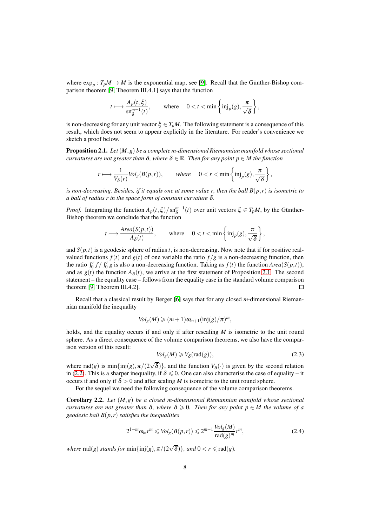where  $\exp_p: T_p M \to M$  is the exponential map, see [\[9\]](#page-26-16). Recall that the Günther-Bishop comparison theorem [\[9,](#page-26-16) Theorem III.4.1] says that the function

$$
t\longmapsto\frac{\mathbf{A}_p(t,\xi)}{\mathbf{sn}^{m-1}_{\delta}(t)},\qquad\text{where}\quad \ 0
$$

is non-decreasing for any unit vector  $\xi \in T_pM$ . The following statement is a consequence of this result, which does not seem to appear explicitly in the literature. For reader's convenience we sketch a proof below.

<span id="page-7-0"></span>Proposition 2.1. *Let*(*M*,*g*) *be a complete m-dimensional Riemannian manifold whose sectional curvatures are not greater than*  $\delta$ *, where*  $\delta \in \mathbb{R}$ *. Then for any point*  $p \in M$  *the function* 

$$
r\longmapsto \frac{1}{V_\delta(r)}\text{Vol}_g(B(p,r)),\qquad \text{where}\quad \ 0
$$

*is non-decreasing. Besides, if it equals one at some value r, then the ball B*(*p*,*r*) *is isometric to a ball of radius r in the space form of constant curvature* δ*.*

*Proof.* Integrating the function  $A_p(t,\xi)/\text{sn}^{m-1}_{\delta}(t)$  over unit vectors  $\xi \in T_pM$ , by the Günther-Bishop theorem we conclude that the function

$$
t \longmapsto \frac{\text{Area}(S(p,t))}{A_{\delta}(t)}, \quad \text{where} \quad 0 < t < \min\left\{\text{inj}_p(g), \frac{\pi}{\sqrt{\delta}}\right\},\
$$

and  $S(p,t)$  is a geodesic sphere of radius *t*, is non-decreasing. Now note that if for positive realvalued functions  $f(t)$  and  $g(t)$  of one variable the ratio  $f/g$  is a non-decreasing function, then the ratio  $\int_0^r f / \int_0^r g$  is also a non-decreasing function. Taking as  $f(t)$  the function  $Area(S(p,t))$ , and as  $g(t)$  the function  $A_{\delta}(t)$ , we arrive at the first statement of Proposition [2.1.](#page-7-0) The second statement – the equality case – follows from the equality case in the standard volume comparison theorem [\[9,](#page-26-16) Theorem III.4.2]. П

Recall that a classical result by Berger [\[6\]](#page-26-3) says that for any closed *m*-dimensional Riemannian manifold the inequality

$$
Vol_g(M) \geqslant (m+1)\omega_{m+1}(\text{inj}(g)/\pi)^m,
$$

holds, and the equality occurs if and only if after rescaling *M* is isometric to the unit round sphere. As a direct consequence of the volume comparison theorems, we also have the comparison version of this result:

<span id="page-7-1"></span>
$$
Vol_g(M) \geq V_{\delta}(\text{rad}(g)),\tag{2.3}
$$

,

where  $rad(g)$  is  $min\{inj(g), \pi/(2\sqrt{\delta})\}\)$ , and the function  $V_{\delta}(\cdot)$  is given by the second relation in [\(2.2\)](#page-6-1). This is a sharper inequality, if  $\delta \leq 0$ . One can also characterise the case of equality – it occurs if and only if  $\delta > 0$  and after scaling *M* is isometric to the unit round sphere.

For the sequel we need the following consequence of the volume comparison theorems.

<span id="page-7-2"></span>Corollary 2.2. *Let* (*M*,*g*) *be a closed m-dimensional Riemannian manifold whose sectional curvatures are not greater than*  $\delta$ *, where*  $\delta \geq 0$ *. Then for any point*  $p \in M$  *the volume of a geodesic ball B*(*p*,*r*) *satisfies the inequalities*

$$
2^{1-m} \omega_m r^m \leqslant Vol_g(B(p,r)) \leqslant 2^{m-1} \frac{\text{Vol}_g(M)}{\text{rad}(g)^m} r^m,\tag{2.4}
$$

*where*  $\text{rad}(g)$  *stands for*  $\min\{\text{inj}(g), \pi/(2\sqrt{\delta})\}$ *, and*  $0 < r \leq \text{rad}(g)$ *.*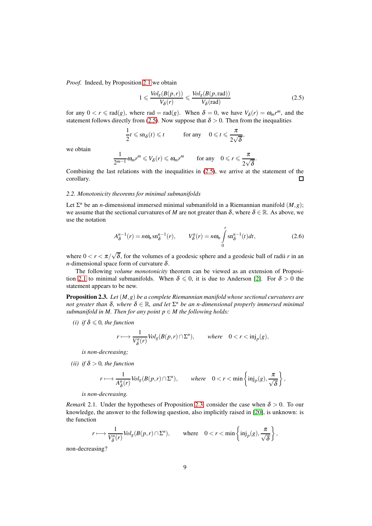*Proof.* Indeed, by Proposition [2.1](#page-7-0) we obtain

<span id="page-8-0"></span>
$$
1 \leqslant \frac{\text{Vol}_g(B(p,r))}{V_\delta(r)} \leqslant \frac{\text{Vol}_g(B(p,\text{rad}))}{V_\delta(\text{rad})}
$$
\n(2.5)

.

for any  $0 < r \le \text{rad}(g)$ , where rad = rad(*g*). When  $\delta = 0$ , we have  $V_{\delta}(r) = \omega_m r^m$ , and the statement follows directly from [\(2.5\)](#page-8-0). Now suppose that  $\delta > 0$ . Then from the inequalities

$$
\frac{1}{2}t \leqslant \operatorname{sn}_{\delta}(t) \leqslant t \qquad \text{for any} \quad 0 \leqslant t \leqslant \frac{\pi}{2\sqrt{\delta}},
$$

we obtain

$$
\frac{1}{2^{m-1}}\omega_m r^m \leqslant V_\delta(r) \leqslant \omega_m r^m \qquad \text{for any} \quad 0 \leqslant r \leqslant \frac{\pi}{2\sqrt{\delta}}
$$

Combining the last relations with the inequalities in [\(2.5\)](#page-8-0), we arrive at the statement of the corollary.  $\Box$ 

#### *2.2. Monotonicity theorems for minimal submanifolds*

Let  $\Sigma^n$  be an *n*-dimensional immersed minimal submanifold in a Riemannian manifold  $(M, g)$ ; we assume that the sectional curvatures of *M* are not greater than  $\delta$ , where  $\delta \in \mathbb{R}$ . As above, we use the notation

$$
A_{\delta}^{n-1}(r) = n\omega_n \operatorname{sn}_{\delta}^{n-1}(r), \qquad V_{\delta}^n(r) = n\omega_n \int_{0}^{r} \operatorname{sn}_{\delta}^{n-1}(t)dt, \tag{2.6}
$$

where  $0 < r < \pi/\sqrt{\delta}$ , for the volumes of a geodesic sphere and a geodesic ball of radii *r* in an *n*-dimensional space form of curvature  $\delta$ .

The following *volume monotonicity* theorem can be viewed as an extension of Proposi-tion [2.1](#page-7-0) to minimal submanifolds. When  $\delta \leq 0$ , it is due to Anderson [\[2\]](#page-26-6). For  $\delta > 0$  the statement appears to be new.

<span id="page-8-1"></span>Proposition 2.3. *Let* (*M*,*g*) *be a complete Riemannian manifold whose sectional curvatures are not greater than*  $\delta$ , where  $\delta \in \mathbb{R}$ , and let  $\Sigma^n$  be an n-dimensional properly immersed minimal *submanifold in M. Then for any point*  $p \in M$  *the following holds:* 

*(i) if*  $\delta \leq 0$ *, the function* 

$$
r \longmapsto \frac{1}{V^n_{\delta}(r)} \text{Vol}_g(B(p,r) \cap \Sigma^n), \quad \text{where} \quad 0 < r < \text{inj}_p(g),
$$

*is non-decreasing;*

*(ii) if*  $\delta > 0$ *, the function* 

$$
r \longmapsto \frac{1}{A_{\delta}^n(r)} \text{Vol}_g(B(p,r) \cap \Sigma^n), \quad \text{where} \quad 0 < r < \min\left\{\text{inj}_p(g), \frac{\pi}{\sqrt{\delta}}\right\},\
$$

*is non-decreasing.*

*Remark* 2.1. Under the hypotheses of Proposition [2.3,](#page-8-1) consider the case when  $\delta > 0$ . To our knowledge, the answer to the following question, also implicitly raised in [\[20\]](#page-27-6), is unknown: is the function

$$
r\longmapsto \frac{1}{V^n_\delta(r)}\text{Vol}_g(B(p,r)\cap \Sigma^n),\qquad \text{where}\quad 0
$$

non-decreasing?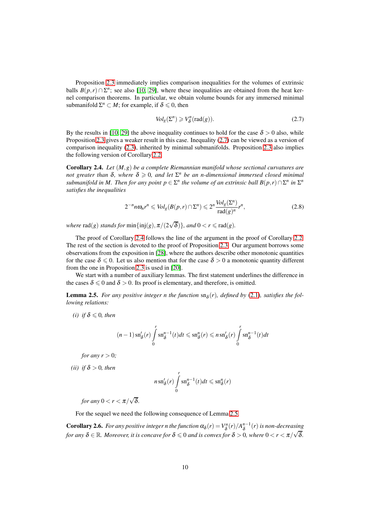Proposition [2.3](#page-8-1) immediately implies comparison inequalities for the volumes of extrinsic balls  $B(p,r) \cap \Sigma^n$ ; see also [\[10,](#page-26-9) [29\]](#page-27-9), where these inequalities are obtained from the heat kernel comparison theorems. In particular, we obtain volume bounds for any immersed minimal submanifold  $\Sigma^n \subset M$ ; for example, if  $\delta \leq 0$ , then

<span id="page-9-0"></span>
$$
Vol_g(\Sigma^n) \geqslant V_\delta^n(\text{rad}(g)).\tag{2.7}
$$

By the results in [\[10,](#page-26-9) [29\]](#page-27-9) the above inequality continues to hold for the case  $\delta > 0$  also, while Proposition [2.3](#page-8-1) gives a weaker result in this case. Inequality [\(2.7\)](#page-9-0) can be viewed as a version of comparison inequality [\(2.3\)](#page-7-1), inherited by minimal submanifolds. Proposition [2.3](#page-8-1) also implies the following version of Corollary [2.2.](#page-7-2)

<span id="page-9-1"></span>Corollary 2.4. *Let* (*M*,*g*) *be a complete Riemannian manifold whose sectional curvatures are not greater than*  $\delta$ , where  $\delta \geqslant 0$ , and let  $\Sigma<sup>n</sup>$  be an n-dimensional immersed closed minimal *submanifold in M. Then for any point*  $p \in \Sigma^n$  *the volume of an extrinsic ball*  $B(p,r) \cap \Sigma^n$  in  $\Sigma^n$ *satisfies the inequalities*

$$
2^{-n} n \omega_n r^n \leqslant Vol_g(B(p, r) \cap \Sigma^n) \leqslant 2^n \frac{Vol_g(\Sigma^n)}{\text{rad}(g)^n} r^n,\tag{2.8}
$$

*where*  $\text{rad}(g)$  *stands for*  $\min\{\text{inj}(g), \pi/(2\sqrt{\delta})\}$ *, and*  $0 < r \leq \text{rad}(g)$ *.* 

The proof of Corollary [2.4](#page-9-1) follows the line of the argument in the proof of Corollary [2.2.](#page-7-2) The rest of the section is devoted to the proof of Proposition [2.3.](#page-8-1) Our argument borrows some observations from the exposition in [\[28\]](#page-27-15), where the authors describe other monotonic quantities for the case  $\delta \le 0$ . Let us also mention that for the case  $\delta > 0$  a monotonic quantity different from the one in Proposition [2.3](#page-8-1) is used in [\[20\]](#page-27-6).

We start with a number of auxiliary lemmas. The first statement underlines the difference in the cases  $\delta \leq 0$  and  $\delta > 0$ . Its proof is elementary, and therefore, is omitted.

<span id="page-9-2"></span>**Lemma 2.5.** For any positive integer n the function  $\text{sn}_{\delta}(r)$ , defined by [\(2.1\)](#page-6-2), satisfies the fol*lowing relations:*

*(i) if*  $\delta \leq 0$ *, then* 

$$
(n-1)\operatorname{sn}_\delta'(r)\int\limits_0^r\operatorname{sn}_\delta^{n-1}(t)dt\leqslant \operatorname{sn}_\delta^n(r)\leqslant n\operatorname{sn}_\delta'(r)\int\limits_0^r\operatorname{sn}_\delta^{n-1}(t)dt
$$

*for any*  $r > 0$ *;* 

*(ii) if*  $\delta > 0$ *, then* 

$$
n \operatorname{sn}_\delta'(r) \int\limits_0^r \operatorname{sn}_\delta^{n-1}(t) dt \leqslant \operatorname{sn}_\delta^n(r)
$$

*for any*  $0 < r < \pi/\sqrt{\delta}$ .

For the sequel we need the following consequence of Lemma [2.5.](#page-9-2)

<span id="page-9-3"></span>**Corollary 2.6.** For any positive integer n the function  $\alpha_\delta(r) = V_\delta^n(r)/A_\delta^{n-1}(r)$  is non-decreasing *for any*  $\delta \in \mathbb{R}$ *. Moreover, it is concave for*  $\delta \le 0$  *and is convex for*  $\delta > 0$ *, where*  $0 < r < \pi/\sqrt{\delta}$ *.*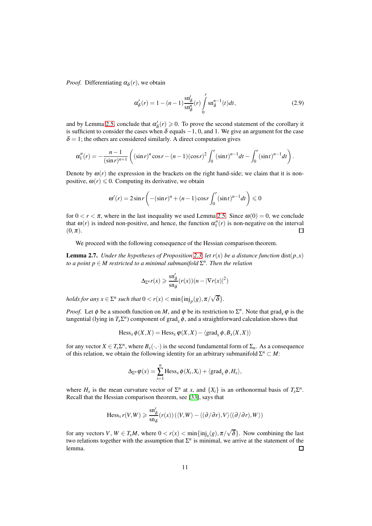*Proof.* Differentiating  $\alpha_{\delta}(r)$ , we obtain

<span id="page-10-1"></span>
$$
\alpha'_{\delta}(r) = 1 - (n-1) \frac{\operatorname{sn}'_{\delta}}{\operatorname{sn}^n_{\delta}}(r) \int\limits_0^r \operatorname{sn}^{n-1}_{\delta}(t) dt, \tag{2.9}
$$

and by Lemma [2.5,](#page-9-2) conclude that  $\alpha'_{\delta}(r) \geqslant 0$ . To prove the second statement of the corollary it is sufficient to consider the cases when  $\delta$  equals  $-1$ , 0, and 1. We give an argument for the case  $\delta = 1$ ; the others are considered similarly. A direct computation gives

$$
\alpha_1''(r) = -\frac{n-1}{(\sin r)^{n+1}} \left( (\sin r)^n \cos r - (n-1)(\cos r)^2 \int_0^r (\sin t)^{n-1} dt - \int_0^r (\sin t)^{n-1} dt \right).
$$

Denote by  $\omega(r)$  the expression in the brackets on the right hand-side; we claim that it is nonpositive,  $\omega(r) \leq 0$ . Computing its derivative, we obtain

$$
\omega'(r) = 2\sin r \left( -(\sin r)^n + (n-1)\cos r \int_0^r (\sin t)^{n-1} dt \right) \le 0
$$

for  $0 < r < \pi$ , where in the last inequality we used Lemma [2.5.](#page-9-2) Since  $\omega(0) = 0$ , we conclude that  $\omega(r)$  is indeed non-positive, and hence, the function  $\alpha''_1(r)$  is non-negative on the interval  $(0,\pi).$  $\square$ 

We proceed with the following consequence of the Hessian comparison theorem.

<span id="page-10-0"></span>**Lemma 2.7.** *Under the hypotheses of Proposition* [2.3,](#page-8-1) *let*  $r(x)$  *be a distance function* dist( $p, x$ ) *to a point p* ∈ *M restricted to a minimal submanifold* Σ *n . Then the relation*

$$
\Delta_{\Sigma^n} r(x) \geqslant \frac{\operatorname{sn}'_\delta}{\operatorname{sn}_\delta} (r(x))(n - |\nabla r(x)|^2)
$$

*holds for any*  $x \in \Sigma^n$  *such that*  $0 < r(x) < \min\{\text{inj}_p(g), \pi/\sqrt{\delta}\}.$ 

*Proof.* Let  $\phi$  be a smooth function on *M*, and  $\phi$  be its restriction to  $\Sigma^n$ . Note that grad<sub>*x*</sub>  $\phi$  is the tangential (lying in  $T_x \Sigma^n$ ) component of grad<sub>*x*</sub>  $\phi$ , and a straightforward calculation shows that

$$
\text{Hess}_x \phi(X, X) = \text{Hess}_x \phi(X, X) - \langle \text{grad}_x \phi, B_x(X, X) \rangle
$$

for any vector  $X \in T_x \Sigma^n$ , where  $B_x(\cdot, \cdot)$  is the second fundamental form of  $\Sigma_n$ . As a consequence of this relation, we obtain the following identity for an arbitrary submanifold  $\Sigma^n \subset M$ :

$$
\Delta_{\Sigma^n} \varphi(x) = \sum_{i=1}^n \operatorname{Hess}_x \varphi(X_i, X_i) + \langle \operatorname{grad}_x \varphi, H_x \rangle,
$$

where  $H_x$  is the mean curvature vector of  $\Sigma^n$  at *x*, and  $\{X_i\}$  is an orthonormal basis of  $T_x \Sigma^n$ . Recall that the Hessian comparison theorem, see [\[33\]](#page-27-14), says that

$$
\operatorname{Hess}_{x} r(V, W) \geqslant \frac{\operatorname{sn}'_{\delta}}{\operatorname{sn}_{\delta}}(r(x))\left(\langle V, W\rangle - \langle (\partial/\partial r), V\rangle \langle (\partial/\partial r), W\rangle\right)
$$

for any vectors  $V, W \in T_xM$ , where  $0 < r(x) < \min\{\text{inj}_x(g), \pi/\sqrt{\delta}\}\)$ . Now combining the last two relations together with the assumption that  $\Sigma<sup>n</sup>$  is minimal, we arrive at the statement of the lemma.  $\Box$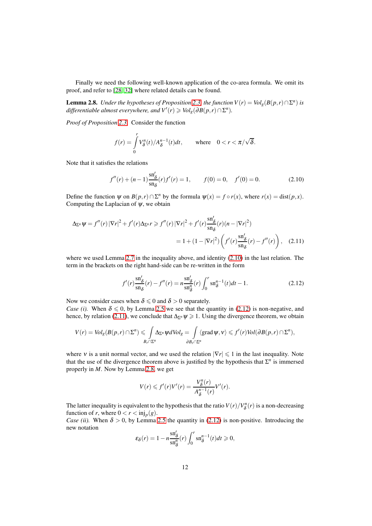Finally we need the following well-known application of the co-area formula. We omit its proof, and refer to [\[28,](#page-27-15) [32\]](#page-27-16) where related details can be found.

<span id="page-11-3"></span>**Lemma 2.8.** *Under the hypotheses of Proposition* [2.3,](#page-8-1) *the function*  $V(r) = Vol_g(B(p, r) \cap \Sigma^n)$  *is*  $d$ *ifferentiable almost everywhere, and*  $V'(r) \geqslant Vol_{g}(\partial B(p,r) \cap \Sigma^{n}).$ 

*Proof of Proposition [2.3.](#page-8-1)* Consider the function

$$
f(r) = \int_{0}^{r} V_{\delta}^{n}(t) / A_{\delta}^{n-1}(t) dt, \quad \text{where} \quad 0 < r < \pi / \sqrt{\delta}.
$$

Note that it satisfies the relations

<span id="page-11-0"></span>
$$
f''(r) + (n-1)\frac{\mathrm{sn}_\delta'}{\mathrm{sn}_\delta}(r) f'(r) = 1, \qquad f(0) = 0, \quad f'(0) = 0.
$$
 (2.10)

Define the function  $\psi$  on  $B(p,r) \cap \Sigma^n$  by the formula  $\psi(x) = f \circ r(x)$ , where  $r(x) = \text{dist}(p,x)$ . Computing the Laplacian of  $\psi$ , we obtain

$$
\Delta_{\Sigma^n} \psi = f''(r) |\nabla r|^2 + f'(r) \Delta_{\Sigma^n} r \ge f''(r) |\nabla r|^2 + f'(r) \frac{\operatorname{sn}_\delta'}{\operatorname{sn}_\delta} (r) (n - |\nabla r|^2)
$$
  
= 1 + (1 - |\nabla r|^2) \left( f'(r) \frac{\operatorname{sn}\_\delta'}{\operatorname{sn}\_\delta} (r) - f''(r) \right), (2.11)

where we used Lemma [2.7](#page-10-0) in the inequality above, and identity [\(2.10\)](#page-11-0) in the last relation. The term in the brackets on the right hand-side can be re-written in the form

<span id="page-11-2"></span><span id="page-11-1"></span>
$$
f'(r)\frac{\text{sn}_\delta'}{\text{sn}_\delta}(r) - f''(r) = n\frac{\text{sn}_\delta'}{\text{sn}_\delta^n}(r) \int_0^r \text{sn}_\delta^{n-1}(t)dt - 1.
$$
 (2.12)

Now we consider cases when  $\delta \leq 0$  and  $\delta > 0$  separately.

*Case (i).* When  $\delta \leq 0$ , by Lemma [2.5](#page-9-2) we see that the quantity in [\(2.12\)](#page-11-1) is non-negative, and hence, by relation [\(2.11\)](#page-11-2), we conclude that  $\Delta_{\Sigma^n} \psi \geq 1$ . Using the divergence theorem, we obtain

$$
V(r) = Vol_g(B(p,r) \cap \Sigma^n) \leqslant \int_{B_r \cap \Sigma^n} \Delta_{\Sigma^n} \psi dVol_g = \int_{\partial B_r \cap \Sigma^n} \langle \operatorname{grad} \psi, \nu \rangle \leqslant f'(r) Vol(\partial B(p,r) \cap \Sigma^n),
$$

where v is a unit normal vector, and we used the relation  $|\nabla r| \leq 1$  in the last inequality. Note that the use of the divergence theorem above is justified by the hypothesis that  $\Sigma^n$  is immersed properly in *M*. Now by Lemma [2.8,](#page-11-3) we get

$$
V(r) \leqslant f'(r)V'(r) = \frac{V_{\delta}^n(r)}{A_{\delta}^{n-1}(r)}V'(r).
$$

The latter inequality is equivalent to the hypothesis that the ratio  $V(r)/V_{\delta}^n(r)$  is a non-decreasing function of *r*, where  $0 < r < \text{inj}_p(g)$ .

*Case (ii).* When  $\delta > 0$ , by Lemma [2.5](#page-9-2) the quantity in [\(2.12\)](#page-11-1) is non-positive. Introducing the new notation

$$
\varepsilon_{\delta}(r) = 1 - n \frac{\operatorname{sn}'_{\delta}}{\operatorname{sn}^n_{\delta}}(r) \int_0^r \operatorname{sn}^{n-1}_{\delta}(t) dt \ge 0,
$$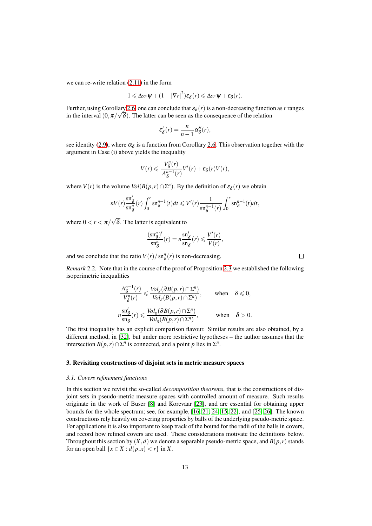we can re-write relation [\(2.11\)](#page-11-2) in the form

$$
1 \leqslant \Delta_{\Sigma^n} \psi + (1 - |\nabla r|^2) \varepsilon_\delta(r) \leqslant \Delta_{\Sigma^n} \psi + \varepsilon_\delta(r).
$$

Further, using Corollary [2.6,](#page-9-3) one can conclude that  $\varepsilon_{\delta}(r)$  is a non-decreasing function as r ranges in the interval  $(0, \pi/\sqrt{\delta})$ . The latter can be seen as the consequence of the relation

$$
\varepsilon_{\delta}'(r) = \frac{n}{n-1} \alpha_{\delta}''(r),
$$

see identity [\(2.9\)](#page-10-1), where  $\alpha_{\delta}$  is a function from Corollary [2.6.](#page-9-3) This observation together with the argument in Case (i) above yields the inequality

$$
V(r) \leqslant \frac{V_{\delta}^{n}(r)}{A_{\delta}^{n-1}(r)}V'(r) + \varepsilon_{\delta}(r)V(r),
$$

where *V*(*r*) is the volume *Vol*( $B(p,r) \cap \Sigma^n$ ). By the definition of  $\varepsilon_\delta(r)$  we obtain

$$
nV(r)\frac{\operatorname{sn}_\delta''}{\operatorname{sn}_\delta^n}(r)\int_0^r \operatorname{sn}_\delta^{n-1}(t)dt \leqslant V'(r)\frac{1}{\operatorname{sn}_\delta^{n-1}(r)}\int_0^r \operatorname{sn}_\delta^{n-1}(t)dt,
$$

where  $0 < r < \pi/\sqrt{\delta}$ . The latter is equivalent to

$$
\frac{(\textrm{sn}_{\delta}^{n})'}{\textrm{sn}_{\delta}^{n}}(r) = n \frac{\textrm{sn}_{\delta}'}{\textrm{sn}_{\delta}}(r) \leqslant \frac{V'(r)}{V(r)},
$$

 $\Box$ 

and we conclude that the ratio  $V(r)/\text{sn}^n_{\delta}(r)$  is non-decreasing.

*Remark* 2.2*.* Note that in the course of the proof of Proposition [2.3](#page-8-1) we established the following isoperimetric inequalities

$$
\frac{A_{\delta}^{n-1}(r)}{V_{\delta}^n(r)} \leq \frac{Vol_g(\partial B(p,r) \cap \Sigma^n)}{Vol_g(B(p,r) \cap \Sigma^n)}, \quad \text{when} \quad \delta \leq 0,
$$
  

$$
n \frac{\text{sn}_\delta'}{\text{sn}_\delta}(r) \leq \frac{Vol_g(\partial B(p,r) \cap \Sigma^n)}{Vol_g(B(p,r) \cap \Sigma^n)}, \quad \text{when} \quad \delta > 0.
$$

The first inequality has an explicit comparison flavour. Similar results are also obtained, by a different method, in [\[32\]](#page-27-16), but under more restrictive hypotheses – the author assumes that the intersection  $B(p,r) \cap \Sigma^n$  is connected, and a point *p* lies in  $\Sigma^n$ .

## <span id="page-12-0"></span>3. Revisiting constructions of disjoint sets in metric measure spaces

#### *3.1. Covers refinement functions*

In this section we revisit the so-called *decomposition theorems*, that is the constructions of disjoint sets in pseudo-metric measure spaces with controlled amount of measure. Such results originate in the work of Buser [\[8\]](#page-26-5) and Korevaar [\[23\]](#page-27-0), and are essential for obtaining upper bounds for the whole spectrum; see, for example, [\[16,](#page-26-4) [21,](#page-27-1) [24,](#page-27-4) [15,](#page-26-17) [22\]](#page-27-5), and [\[25,](#page-27-2) [26\]](#page-27-11). The known constructions rely heavily on covering properties by balls of the underlying pseudo-metric space. For applications it is also important to keep track of the bound for the radii of the balls in covers, and record how refined covers are used. These considerations motivate the definitions below. Throughout this section by  $(X, d)$  we denote a separable pseudo-metric space, and  $B(p, r)$  stands for an open ball  $\{x \in X : d(p,x) < r\}$  in *X*.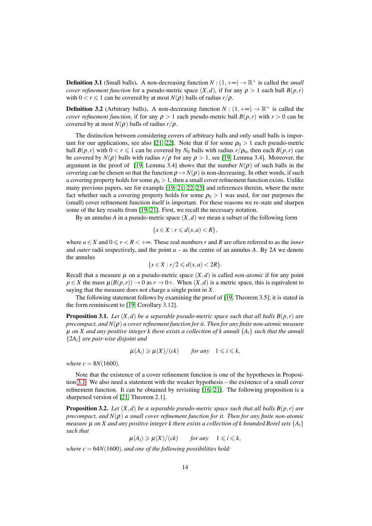**Definition 3.1** (Small balls). A non-decreasing function  $N : (1, +\infty) \to \mathbb{R}^+$  is called the *small cover refinement function* for a pseudo-metric space  $(X,d)$ , if for any  $\rho > 1$  each ball  $B(p,r)$ with  $0 < r \leq 1$  can be covered by at most  $N(\rho)$  balls of radius  $r/\rho$ .

**Definition 3.2** (Arbitrary balls). A non-decreasing function  $N : (1, +\infty) \to \mathbb{R}^+$  is called the *cover refinement function*, if for any  $\rho > 1$  each pseudo-metric ball  $B(p,r)$  with  $r > 0$  can be covered by at most  $N(\rho)$  balls of radius  $r/\rho$ .

The distinction between considering covers of arbitrary balls and only small balls is impor-tant for our applications, see also [\[21,](#page-27-1) [22\]](#page-27-5). Note that if for some  $\rho_0 > 1$  each pseudo-metric ball  $B(p,r)$  with  $0 \lt r \leq 1$  can be covered by  $N_0$  balls with radius  $r/\rho_0$ , then each  $B(p,r)$  can be covered by  $N(\rho)$  balls with radius  $r/\rho$  for any  $\rho > 1$ , see [\[19,](#page-27-3) Lemma 3.4]. Moreover, the argument in the proof of [\[19,](#page-27-3) Lemma 3.4] shows that the number  $N(\rho)$  of such balls in the covering can be chosen so that the function  $\rho \mapsto N(\rho)$  is non-decreasing. In other words, if such a covering property holds for some  $\rho_0 > 1$ , then a small cover refinement function exists. Unlike many previous papers, see for example [\[19,](#page-27-3) [21,](#page-27-1) [22,](#page-27-5) [25\]](#page-27-2) and references therein, where the mere fact whether such a covering property holds for some  $\rho_0 > 1$  was used, for our purposes the (small) cover refinement function itself is important. For these reasons we re-state and sharpen some of the key results from [\[19,](#page-27-3) [21\]](#page-27-1). First, we recall the necessary notation.

By an annulus *A* in a pseudo-metric space  $(X,d)$  we mean a subset of the following form

$$
\{x\in X:r\leqslant d(x,a)
$$

where  $a \in X$  and  $0 \le r < R < +\infty$ . These real numbers *r* and *R* are often referred to as the *inner* and *outer* radii respectively, and the point *a* – as the centre of an annulus *A*. By 2*A* we denote the annulus

$$
\{x \in X : r/2 \leqslant d(x,a) < 2R\}.
$$

Recall that a measure  $\mu$  on a pseudo-metric space  $(X, d)$  is called *non-atomic* if for any point  $p \in X$  the mass  $\mu(B(p,r)) \to 0$  as  $r \to 0+$ . When  $(X,d)$  is a metric space, this is equivalent to saying that the measure does not charge a single point in *X*.

The following statement follows by examining the proof of [\[19,](#page-27-3) Theorem 3.5]; it is stated in the form reminiscent to [\[19,](#page-27-3) Corollary 3.12].

<span id="page-13-0"></span>**Proposition 3.1.** *Let*  $(X,d)$  *be a separable pseudo-metric space such that all balls*  $B(p,r)$  *are precompact, and N*(ρ) *a cover refinement function for it. Then for any finite non-atomic measure*  $\mu$  *on X and any positive integer k there exists a collection of k annuli*  $\{A_i\}$  *such that the annuli* {2*Ai*} *are pair-wise disjoint and*

$$
\mu(A_i) \geq \mu(X)/(ck) \quad \text{for any} \quad 1 \leq i \leq k,
$$

*where c* =  $8N(1600)$ *.* 

Note that the existence of a cover refinement function is one of the hypotheses in Proposition [3.1.](#page-13-0) We also need a statement with the weaker hypothesis – the existence of a small cover refinement function. It can be obtained by revisiting [\[16,](#page-26-4) [21\]](#page-27-1). The following proposition is a sharpened version of [\[21,](#page-27-1) Theorem 2.1].

<span id="page-13-1"></span>**Proposition 3.2.** *Let*  $(X,d)$  *be a separable pseudo-metric space such that all balls*  $B(p,r)$  *are precompact, and N*(ρ) *a small cover refinement function for it. Then for any finite non-atomic measure*  $\mu$  *on*  $X$  *and any positive integer k there exists a collection of k bounded Borel sets*  $\{A_i\}$ *such that*

 $\mu(A_i) \ge \mu(X)/(ck)$  *for any*  $1 \le i \le k$ ,

*where*  $c = 64N(1600)$ *, and one of the following possibilities hold:*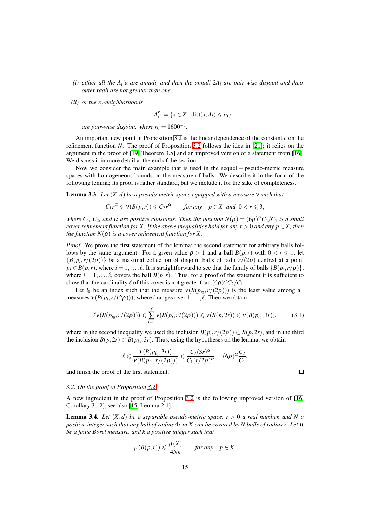- *(i) either all the Ai'a are annuli, and then the annuli* 2*A<sup>i</sup> are pair-wise disjoint and their outer radii are not greater than one,*
- *(ii) or the r*0*-neighborhoods*

$$
A_i^{r_0} = \{x \in X : \text{dist}(x, A_i) \leq r_0\}
$$

*are pair-wise disjoint, where r*<sub>0</sub> =  $1600^{-1}$ *.* 

An important new point in Proposition [3.2](#page-13-1) is the linear dependence of the constant *c* on the refinement function *N*. The proof of Proposition [3.2](#page-13-1) follows the idea in [\[21\]](#page-27-1); it relies on the argument in the proof of [\[19,](#page-27-3) Theorem 3.5] and an improved version of a statement from [\[16\]](#page-26-4). We discuss it in more detail at the end of the section.

Now we consider the main example that is used in the sequel – pseudo-metric measure spaces with homogeneous bounds on the measure of balls. We describe it in the form of the following lemma; its proof is rather standard, but we include it for the sake of completeness.

<span id="page-14-1"></span>Lemma 3.3. *Let* (*X*,*d*) *be a pseudo-metric space equipped with a measure* <sup>ν</sup> *such that*

$$
C_1 r^{\alpha} \leqslant v(B(p,r)) \leqslant C_2 r^{\alpha} \qquad \text{for any} \quad p \in X \text{ and } 0 < r \leqslant 3,
$$

*where*  $C_1$ ,  $C_2$ , and  $\alpha$  are positive constants. Then the function  $N(\rho) = (6\rho)^{\alpha} C_2/C_1$  is a small *cover refinement function for X. If the above inequalities hold for any r* > 0 *and any*  $p \in X$ *, then the function*  $N(\rho)$  *is a cover refinement function for* X.

*Proof.* We prove the first statement of the lemma; the second statement for arbitrary balls follows by the same argument. For a given value  $\rho > 1$  and a ball  $B(p,r)$  with  $0 < r \leq 1$ , let  ${B(p_i, r/(2\rho))}$  be a maximal collection of disjoint balls of radii  $r/(2\rho)$  centred at a point  $p_i \in B(p,r)$ , where  $i = 1, ..., \ell$ . It is straightforward to see that the family of balls  $\{B(p_i, r/\rho)\},$ where  $i = 1, \ldots, \ell$ , covers the ball  $B(p, r)$ . Thus, for a proof of the statement it is sufficient to show that the cardinality  $\ell$  of this cover is not greater than  $(6\rho)^{\alpha}C_2/C_1$ .

Let *i*<sub>0</sub> be an index such that the measure  $v(B(p_{i_0}, r/(2\rho)))$  is the least value among all measures  $v(B(p_i, r/(2\rho)))$ , where *i* ranges over  $1, \ldots, \ell$ . Then we obtain

$$
\ell v(B(p_{i_0}, r/(2\rho))) \leq \sum_{i=1}^{\ell} v(B(p_i, r/(2\rho))) \leq v(B(p, 2r)) \leq v(B(p_{i_0}, 3r)), \quad (3.1)
$$

where in the second inequality we used the inclusion  $B(p_i, r/(2\rho)) \subset B(p, 2r)$ , and in the third the inclusion  $B(p, 2r) \subset B(p_{i_0}, 3r)$ . Thus, using the hypotheses on the lemma, we obtain

$$
\ell \leqslant \frac{v(B(p_{i_0},3r))}{v(B(p_{i_0},r/(2\rho)))} \leqslant \frac{C_2(3r)^{\alpha}}{C_1(r/2\rho)^{\alpha}} = (6\rho)^{\alpha} \frac{C_2}{C_1},
$$

and finish the proof of the first statement.

#### *3.2. On the proof of Proposition [3.2](#page-13-1)*

A new ingredient in the proof of Proposition [3.2](#page-13-1) is the following improved version of [\[16,](#page-26-4) Corollary 3.12], see also [\[15,](#page-26-17) Lemma 2.1].

<span id="page-14-0"></span>**Lemma 3.4.** Let  $(X,d)$  be a separable pseudo-metric space,  $r > 0$  a real number, and N a *positive integer such that any ball of radius* 4*r in X can be covered by N balls of radius r. Let* <sup>µ</sup> *be a finite Borel measure, and k a positive integer such that*

$$
\mu(B(p,r)) \leq \frac{\mu(X)}{4Nk} \quad \text{for any} \quad p \in X.
$$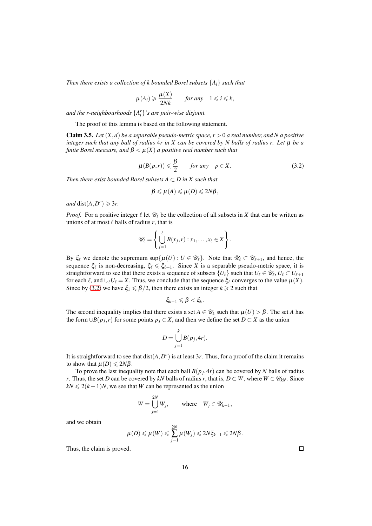*Then there exists a collection of k bounded Borel subsets* {*Ai*} *such that*

$$
\mu(A_i) \geq \frac{\mu(X)}{2Nk} \qquad \text{for any} \quad 1 \leq i \leq k,
$$

*and the r-neighbourhoods* {*A r i* }*'s are pair-wise disjoint.*

The proof of this lemma is based on the following statement.

<span id="page-15-1"></span>**Claim 3.5.** *Let*  $(X, d)$  *be a separable pseudo-metric space,*  $r > 0$  *a real number, and N a positive integer such that any ball of radius* 4*r in X can be covered by N balls of radius r. Let* <sup>µ</sup> *be a finite Borel measure, and*  $\beta < \mu(X)$  *a positive real number such that* 

<span id="page-15-0"></span>
$$
\mu(B(p,r)) \leq \frac{\beta}{2} \qquad \text{for any} \quad p \in X. \tag{3.2}
$$

*Then there exist bounded Borel subsets A* ⊂ *D in X such that*

$$
\beta \leqslant \mu(A) \leqslant \mu(D) \leqslant 2N\beta,
$$

*and* dist $(A, D^c) \geq 3r$ .

*Proof.* For a positive integer  $\ell$  let  $\mathcal{U}_{\ell}$  be the collection of all subsets in *X* that can be written as unions of at most  $\ell$  balls of radius  $r$ , that is

$$
\mathscr{U}_{\ell} = \left\{ \bigcup_{j=1}^{\ell} B(x_j,r) : x_1,\ldots,x_{\ell} \in X \right\}.
$$

By  $\xi_{\ell}$  we denote the supremum sup $\{\mu(U): U \in \mathcal{U}_{\ell}\}\$ . Note that  $\mathcal{U}_{\ell} \subset \mathcal{U}_{\ell+1}$ , and hence, the sequence  $\xi_{\ell}$  is non-decreasing,  $\xi_{\ell} \leq \xi_{\ell+1}$ . Since *X* is a separable pseudo-metric space, it is straightforward to see that there exists a sequence of subsets  $\{U_\ell\}$  such that  $U_\ell \in \mathcal{U}_\ell$ ,  $U_\ell \subset U_{\ell+1}$ for each  $\ell$ , and  $\cup_{\ell} U_{\ell} = X$ . Thus, we conclude that the sequence  $\xi_{\ell}$  converges to the value  $\mu(X)$ . Since by [\(3.2\)](#page-15-0) we have  $\xi_1 \le \beta/2$ , then there exists an integer  $k \ge 2$  such that

$$
\xi_{k-1}\leqslant \beta<\xi_k.
$$

The second inequality implies that there exists a set  $A \in \mathcal{U}_k$  such that  $\mu(U) > \beta$ . The set *A* has the form  $\cup B(p_j, r)$  for some points  $p_j \in X$ , and then we define the set  $D \subset X$  as the union

$$
D = \bigcup_{j=1}^k B(p_j, 4r).
$$

It is straightforward to see that  $dist(A, D^c)$  is at least 3r. Thus, for a proof of the claim it remains to show that  $\mu(D) \leq 2N\beta$ .

To prove the last inequality note that each ball  $B(p_j, 4r)$  can be covered by *N* balls of radius *r*. Thus, the set *D* can be covered by *kN* balls of radius *r*, that is,  $D \subset W$ , where  $W \in \mathcal{U}_{kN}$ . Since  $kN \leq 2(k-1)N$ , we see that *W* can be represented as the union

$$
W = \bigcup_{j=1}^{2N} W_j, \qquad \text{where} \quad W_j \in \mathscr{U}_{k-1},
$$

and we obtain

$$
\mu(D) \leqslant \mu(W) \leqslant \sum_{j=1}^{2N} \mu(W_j) \leqslant 2N \xi_{k-1} \leqslant 2N\beta.
$$

Thus, the claim is proved.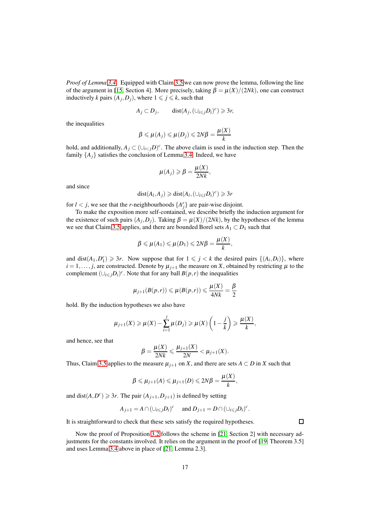*Proof of Lemma [3.4.](#page-14-0)* Equipped with Claim [3.5](#page-15-1) we can now prove the lemma, following the line of the argument in [\[15,](#page-26-17) Section 4]. More precisely, taking  $\beta = \mu(X)/(2Nk)$ , one can construct inductively *k* pairs  $(A_j, D_j)$ , where  $1 \leq j \leq k$ , such that

$$
A_j \subset D_j, \qquad \text{dist}(A_j, (\cup_{i \leq j} D_i)^c) \geq 3r,
$$

the inequalities

$$
\beta \leqslant \mu(A_j) \leqslant \mu(D_j) \leqslant 2N\beta = \frac{\mu(X)}{k}
$$

hold, and additionally,  $A_j \subset (\cup_{i \le j} D)^c$ . The above claim is used in the induction step. Then the family  $\{A_i\}$  satisfies the conclusion of Lemma [3.4.](#page-14-0) Indeed, we have

$$
\mu(A_j) \geqslant \beta = \frac{\mu(X)}{2Nk},
$$

and since

$$
dist(A_l, A_j) \geq \text{dist}(A_l, (\cup_{i \leq l} D_i)^c) \geq 3r
$$

for  $l < j$ , we see that the *r*-neighbourhoods  $\{A_j^r\}$  are pair-wise disjoint.

To make the exposition more self-contained, we describe briefly the induction argument for the existence of such pairs  $(A_j, D_j)$ . Taking  $\beta = \mu(X)/(2Nk)$ , by the hypotheses of the lemma we see that Claim [3.5](#page-15-1) applies, and there are bounded Borel sets  $A_1 \subset D_1$  such that

$$
\beta \leqslant \mu(A_1) \leqslant \mu(D_1) \leqslant 2N\beta = \frac{\mu(X)}{k},
$$

and dist $(A_1, D_1^c) \ge 3r$ . Now suppose that for  $1 \le j \le k$  the desired pairs  $\{(A_i, D_i)\}$ , where  $i = 1, \ldots, j$ , are constructed. Denote by  $\mu_{i+1}$  the measure on *X*, obtained by restricting  $\mu$  to the complement  $(\bigcup_{i \leq j} D_i)^c$ . Note that for any ball  $B(p, r)$  the inequalities

$$
\mu_{j+1}(B(p,r)) \leq \mu(B(p,r)) \leq \frac{\mu(X)}{4Nk} = \frac{\beta}{2}
$$

hold. By the induction hypotheses we also have

$$
\mu_{j+1}(X) \geqslant \mu(X) - \sum_{i=1}^{j} \mu(D_i) \geqslant \mu(X) \left(1 - \frac{j}{k}\right) \geqslant \frac{\mu(X)}{k},
$$

and hence, see that

$$
\beta = \frac{\mu(X)}{2Nk} \leqslant \frac{\mu_{j+1}(X)}{2N} < \mu_{j+1}(X).
$$

Thus, Claim [3.5](#page-15-1) applies to the measure  $\mu_{j+1}$  on *X*, and there are sets  $A \subset D$  in *X* such that

$$
\beta \leqslant \mu_{j+1}(A) \leqslant \mu_{j+1}(D) \leqslant 2N\beta = \frac{\mu(X)}{k},
$$

and dist $(A, D^c) \ge 3r$ . The pair  $(A_{j+1}, D_{j+1})$  is defined by setting

$$
A_{j+1} = A \cap (\cup_{i \leq j} D_i)^c \quad \text{ and } D_{j+1} = D \cap (\cup_{i \leq j} D_i)^c.
$$

It is straightforward to check that these sets satisfy the required hypotheses.

Now the proof of Proposition [3.2](#page-13-1) follows the scheme in [\[21,](#page-27-1) Section 2] with necessary adjustments for the constants involved. It relies on the argument in the proof of [\[19,](#page-27-3) Theorem 3.5] and uses Lemma [3.4](#page-14-0) above in place of [\[21,](#page-27-1) Lemma 2.3].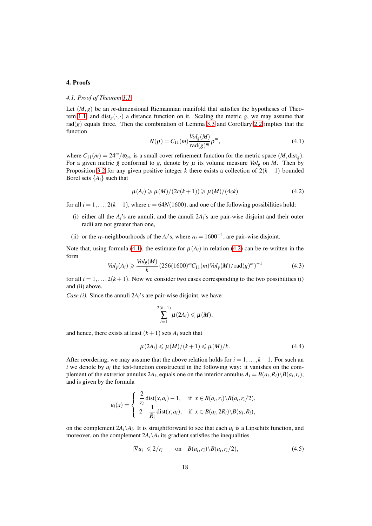# <span id="page-17-0"></span>4. Proofs

# *4.1. Proof of Theorem [1.1](#page-1-0)*

Let  $(M, g)$  be an *m*-dimensional Riemannian manifold that satisfies the hypotheses of Theo-rem [1.1,](#page-1-0) and dist<sub>g</sub>( $\cdot$ , $\cdot$ ) a distance function on it. Scaling the metric *g*, we may assume that  $rad(g)$  equals three. Then the combination of Lemma [3.3](#page-14-1) and Corollary [2.2](#page-7-2) implies that the function

<span id="page-17-1"></span>
$$
N(\rho) = C_{11}(m) \frac{\text{Vol}_g(M)}{\text{rad}(g)^m} \rho^m,
$$
\n(4.1)

where  $C_{11}(m) = 24<sup>m</sup>/\omega_m$ , is a small cover refinement function for the metric space  $(M, \text{dist}_g)$ . For a given metric  $\tilde{g}$  conformal to g, denote by  $\mu$  its volume measure  $Vol_{\tilde{g}}$  on *M*. Then by Proposition [3.2](#page-13-1) for any given positive integer *k* there exists a collection of  $2(k+1)$  bounded Borel sets  ${A_i}$  such that

<span id="page-17-2"></span>
$$
\mu(A_i) \geqslant \mu(M)/(2c(k+1)) \geqslant \mu(M)/(4ck) \tag{4.2}
$$

for all  $i = 1, ..., 2(k + 1)$ , where  $c = 64N(1600)$ , and one of the following possibilities hold:

- (i) either all the  $A_i$ 's are annuli, and the annuli  $2A_i$ 's are pair-wise disjoint and their outer radii are not greater than one,
- (ii) or the *r*<sub>0</sub>-neighbourhoods of the *A*<sup>*i*</sup>s, where *r*<sub>0</sub> = 1600<sup>-1</sup>, are pair-wise disjoint.

Note that, using formula [\(4.1\)](#page-17-1), the estimate for  $\mu(A_i)$  in relation [\(4.2\)](#page-17-2) can be re-written in the form

<span id="page-17-5"></span>
$$
Vol_{\tilde{g}}(A_i) \geqslant \frac{Vol_{\tilde{g}}(M)}{k} \left(256(1600)^m C_{11}(m) Vol_g(M) / \operatorname{rad}(g)^m \right)^{-1}
$$
(4.3)

for all  $i = 1, \ldots, 2(k + 1)$ . Now we consider two cases corresponding to the two possibilities (i) and (ii) above.

*Case (i).* Since the annuli 2*Ai*'s are pair-wise disjoint, we have

$$
\sum_{i=1}^{2(k+1)} \mu(2A_i) \leq \mu(M),
$$

and hence, there exists at least  $(k+1)$  sets  $A_i$  such that

<span id="page-17-4"></span>
$$
\mu(2A_i) \leqslant \mu(M)/(k+1) \leqslant \mu(M)/k. \tag{4.4}
$$

After reordering, we may assume that the above relation holds for  $i = 1, \ldots, k + 1$ . For such an *i* we denote by  $u_i$  the test-function constructed in the following way: it vanishes on the complement of the extrerior annulus 2*A*<sub>*i*</sub></sub>, equals one on the interior annulus  $A_i = B(a_i, R_i) \setminus B(a_i, r_i)$ , and is given by the formula

$$
u_i(x) = \begin{cases} \frac{2}{r_i} \operatorname{dist}(x, a_i) - 1, & \text{if } x \in B(a_i, r_i) \setminus B(a_i, r_i/2), \\ 2 - \frac{1}{R_i} \operatorname{dist}(x, a_i), & \text{if } x \in B(a_i, 2R_i) \setminus B(a_i, R_i), \end{cases}
$$

on the complement  $2A_i \setminus A_i$ . It is straightforward to see that each  $u_i$  is a Lipschitz function, and moreover, on the complement  $2A_i \setminus A_i$  its gradient satisfies the inequalities

<span id="page-17-3"></span>
$$
|\nabla u_i| \leqslant 2/r_i \qquad \text{on} \quad B(a_i, r_i) \setminus B(a_i, r_i/2), \tag{4.5}
$$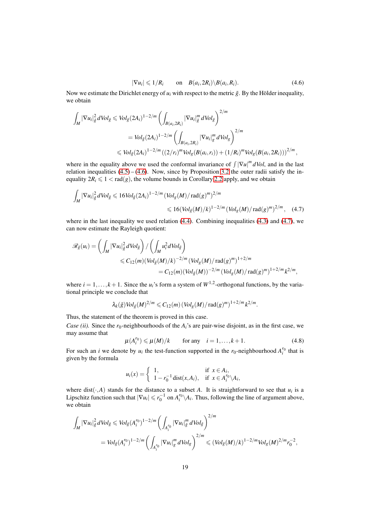<span id="page-18-1"></span><span id="page-18-0"></span>
$$
|\nabla u_i| \leqslant 1/R_i \qquad \text{on} \quad B(a_i, 2R_i) \backslash B(a_i, R_i). \tag{4.6}
$$

Now we estimate the Dirichlet energy of  $u_i$  with respect to the metric  $\tilde{g}$ . By the Hölder inequality, we obtain

$$
\int_{M} |\nabla u_{i}|_{\tilde{g}}^{2} dVol_{\tilde{g}} \leqslant Vol_{\tilde{g}}(2A_{i})^{1-2/m} \left( \int_{B(a_{i}, 2R_{i})} |\nabla u_{i}|_{\tilde{g}}^{m} dVol_{\tilde{g}} \right)^{2/m}
$$
\n
$$
= Vol_{\tilde{g}}(2A_{i})^{1-2/m} \left( \int_{B(a_{i}, 2R_{i})} |\nabla u_{i}|_{g}^{m} dVol_{g} \right)^{2/m}
$$
\n
$$
\leqslant Vol_{\tilde{g}}(2A_{i})^{1-2/m} \left( (2/r_{i})^{m} Vol_{g}(B(a_{i}, r_{i})) + (1/R_{i})^{m} Vol_{g}(B(a_{i}, 2R_{i})) \right)^{2/m},
$$

where in the equality above we used the conformal invariance of  $\int |\nabla u|^m dVol$ , and in the last relation inequalities  $(4.5)$  –  $(4.6)$ . Now, since by Proposition [3.2](#page-13-1) the outer radii satisfy the inequality  $2R_i \leq 1 < \text{rad}(g)$ , the volume bounds in Corollary [2.2](#page-7-2) apply, and we obtain

$$
\int_{M} |\nabla u_{i}|_{\tilde{g}}^{2} dVol_{\tilde{g}} \leq 16 Vol_{\tilde{g}} (2A_{i})^{1-2/m} (Vol_{g}(M)/\text{rad}(g)^{m})^{2/m} \leq 16 (Vol_{\tilde{g}}(M)/k)^{1-2/m} (Vol_{g}(M)/\text{rad}(g)^{m})^{2/m}, \quad (4.7)
$$

where in the last inequality we used relation [\(4.4\)](#page-17-4). Combining inequalities [\(4.3\)](#page-17-5) and [\(4.7\)](#page-18-1), we can now estimate the Rayleigh quotient:

$$
\mathscr{R}_{\tilde{g}}(u_i) = \left( \int_M |\nabla u_i|_{\tilde{g}}^2 dVol_{\tilde{g}} \right) / \left( \int_M u_i^2 dVol_{\tilde{g}} \right)
$$
  
\n
$$
\leq C_{12}(m) (Vol_{\tilde{g}}(M)/k)^{-2/m} (Vol_g(M)/\text{rad}(g)^m)^{1+2/m}
$$
  
\n
$$
= C_{12}(m) (Vol_{\tilde{g}}(M))^{-2/m} (Vol_g(M)/\text{rad}(g)^m)^{1+2/m} k^{2/m},
$$

where  $i = 1, ..., k + 1$ . Since the  $u_i$ 's form a system of  $W^{1,2}$ -orthogonal functions, by the variational principle we conclude that

$$
\lambda_k(\tilde{g})\text{Vol}_{\tilde{g}}(M)^{2/m}\leqslant C_{12}(m)\left(\text{Vol}_g(M)/\text{rad}(g)^m\right)^{1+2/m}k^{2/m}.
$$

Thus, the statement of the theorem is proved in this case.

*Case (ii).* Since the  $r_0$ -neighbourhoods of the  $A_i$ 's are pair-wise disjoint, as in the first case, we may assume that

<span id="page-18-2"></span>
$$
\mu(A_i^{r_0}) \leq \mu(M)/k \qquad \text{for any} \quad i = 1, \dots, k+1. \tag{4.8}
$$

For such an *i* we denote by  $u_i$  the test-function supported in the  $r_0$ -neighbourhood  $A_i^{r_0}$  that is given by the formula

$$
u_i(x) = \begin{cases} 1, & \text{if } x \in A_i, \\ 1 - r_0^{-1} \operatorname{dist}(x, A_i), & \text{if } x \in A_i^{r_0} \backslash A_i, \end{cases}
$$

where dist( $\cdot$ ,*A*) stands for the distance to a subset *A*. It is straightforward to see that  $u_i$  is a Lipschitz function such that  $|\nabla u_i| \le r_0^{-1}$  on  $A_i^{r_0} \setminus A_i$ . Thus, following the line of argument above, we obtain

$$
\int_{M} |\nabla u_{i}|_{\tilde{g}}^{2} dVol_{\tilde{g}} \leq Vol_{\tilde{g}}(A_{i}^{r_{0}})^{1-2/m} \left( \int_{A_{i}^{r_{0}}} |\nabla u_{i}|_{\tilde{g}}^{m} dVol_{\tilde{g}} \right)^{2/m}
$$
\n
$$
= Vol_{\tilde{g}}(A_{i}^{r_{0}})^{1-2/m} \left( \int_{A_{i}^{r_{0}}} |\nabla u_{i}|_{g}^{m} dVol_{g} \right)^{2/m} \leq (Vol_{\tilde{g}}(M)/k)^{1-2/m} Vol_{g}(M)^{2/m} r_{0}^{-2},
$$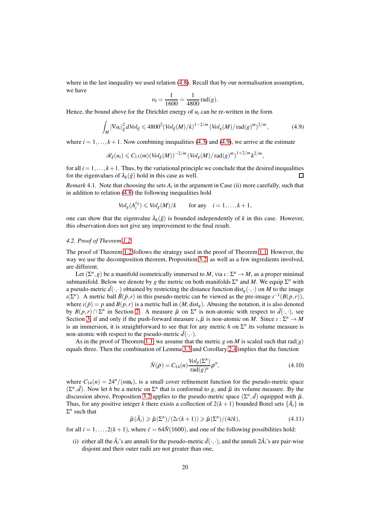where in the last inequality we used relation  $(4.8)$ . Recall that by our normalisation assumption, we have

$$
r_0 = \frac{1}{1600} = \frac{1}{4800} \operatorname{rad}(g).
$$

Hence, the bound above for the Dirichlet energy of  $u_i$  can be re-written in the form

<span id="page-19-0"></span>
$$
\int_{M} |\nabla u_{i}|_{\tilde{g}}^{2} dVol_{\tilde{g}} \leqslant 4800^{2} (Vol_{\tilde{g}}(M)/k)^{1-2/m} (Vol_{g}(M)/\text{rad}(g)^{m})^{2/m}, \qquad (4.9)
$$

where  $i = 1, \ldots, k+1$ . Now combining inequalities [\(4.3\)](#page-17-5) and [\(4.9\)](#page-19-0), we arrive at the estimate

$$
\mathscr{R}_{\tilde{g}}(u_i) \leqslant C_{13}(m) (\text{Vol}_{\tilde{g}}(M))^{-2/m} (\text{Vol}_g(M)/\text{rad}(g)^m)^{1+2/m} k^{2/m},
$$

for all  $i = 1, \ldots, k+1$ . Thus, by the variational principle we conclude that the desired inequalities for the eigenvalues of  $\lambda_k(\tilde{g})$  hold in this case as well. П

*Remark* 4.1. Note that choosing the sets  $A_i$  in the argument in Case (ii) more carefully, such that in addition to relation [\(4.8\)](#page-18-2) the following inequalities hold

$$
Vol_g(A_i^{r_0}) \leqslant Vol_g(M)/k \qquad \text{for any} \quad i = 1, \ldots, k+1,
$$

one can show that the eigenvalue  $\lambda_k(\tilde{g})$  is bounded independently of k in this case. However, this observation does not give any improvement to the final result.

#### *4.2. Proof of Theorem [1.2](#page-2-1)*

The proof of Theorem [1.2](#page-2-1) follows the strategy used in the proof of Theorem [1.1.](#page-1-0) However, the way we use the decomposition theorem, Proposition [3.2,](#page-13-1) as well as a few ingredients involved, are different.

Let  $(\Sigma^n, g)$  be a manifold isometrically immersed to *M*, via  $\iota : \Sigma^n \to M$ , as a proper minimal submanifold. Below we denote by *g* the metric on both manifolds  $\Sigma^n$  and *M*. We equip  $\Sigma^n$  with a pseudo-metric  $\bar{d}(\cdot,\cdot)$  obtained by restricting the distance function dist<sub>g</sub>( $\cdot,\cdot$ ) on *M* to the image  $\iota(\Sigma^n)$ . A metric ball  $\bar{B}(\bar{p}, r)$  in this pseudo-metric can be viewed as the pre-image  $\iota^{-1}(B(p, r))$ , where  $\iota(\bar{p}) = p$  and  $B(p, r)$  is a metric ball in  $(M, dist_e)$ . Abusing the notation, it is also denoted by  $B(p,r) \cap \Sigma^n$  in Section [2.](#page-6-0) A measure  $\bar{\mu}$  on  $\Sigma^n$  is non-atomic with respect to  $\bar{d}(\cdot,\cdot)$ , see Section [3,](#page-12-0) if and only if the push-forward measure  $i_*\bar{\mu}$  is non-atomic on *M*. Since  $i : \Sigma^n \to M$ is an immersion, it is straightforward to see that for any metric  $h$  on  $\Sigma<sup>n</sup>$  its volume measure is non-atomic with respect to the pseudo-metric  $\bar{d}(\cdot,\cdot)$ .

As in the proof of Theorem [1.1,](#page-1-0) we assume that the metric *g* on *M* is scaled such that  $rad(g)$ equals three. Then the combination of Lemma [3.3](#page-14-1) and Corollary [2.4](#page-9-1) implies that the function

<span id="page-19-2"></span>
$$
\bar{N}(\rho) = C_{14}(n) \frac{\text{Vol}_g(\Sigma^n)}{\text{rad}(g)^n} \rho^n,
$$
\n(4.10)

where  $C_{14}(n) = 24^n/(n\omega_n)$ , is a small cover refinement function for the pseudo-metric space  $(\Sigma^n, \bar{d})$ . Now let *h* be a metric on  $\Sigma^n$  that is conformal to *g*, and  $\bar{\mu}$  its volume measure. By the discussion above, Proposition [3.2](#page-13-1) applies to the pseudo-metric space  $(\Sigma^n, \bar{d})$  equipped with  $\bar{\mu}$ . Thus, for any positive integer *k* there exists a collection of  $2(k+1)$  bounded Borel sets  $\{\bar{A}_i\}$  in  $\Sigma^n$  such that

<span id="page-19-1"></span>
$$
\bar{\mu}(\bar{A}_i) \ge \bar{\mu}(\Sigma^n)/(2c(k+1)) \ge \bar{\mu}(\Sigma^n)/(4\bar{c}k),\tag{4.11}
$$

for all  $i = 1, \ldots, 2(k + 1)$ , where  $\bar{c} = 64\bar{N}(1600)$ , and one of the following possibilities hold:

(i) either all the  $\bar{A}_i$ 's are annuli for the pseudo-metric  $\bar{d}(\cdot,\cdot)$ , and the annuli  $2\bar{A}_i$ 's are pair-wise disjoint and their outer radii are not greater than one.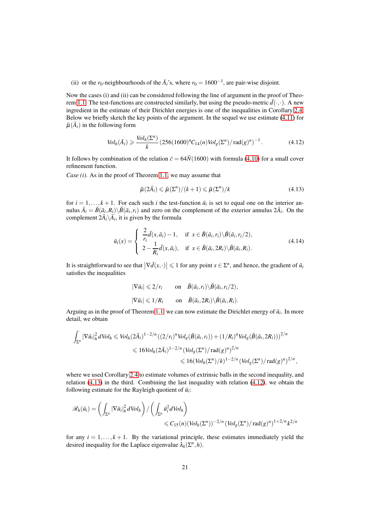(ii) or the *r*<sub>0</sub>-neighbourhoods of the  $\bar{A}_i$ 's, where  $r_0 = 1600^{-1}$ , are pair-wise disjoint.

Now the cases (i) and (ii) can be considered following the line of argument in the proof of Theo-rem [1.1.](#page-1-0) The test-functions are constructed similarly, but using the pseudo-metric  $\bar{d}(\cdot,\cdot)$ . A new ingredient in the estimate of their Dirichlet energies is one of the inequalities in Corollary [2.4.](#page-9-1) Below we briefly sketch the key points of the argument. In the sequel we use estimate [\(4.11\)](#page-19-1) for  $\bar{\mu}(\bar{A}_i)$  in the following form

<span id="page-20-1"></span>
$$
Vol_h(\bar{A}_i) \geqslant \frac{Vol_h(\Sigma^n)}{k} \left(256(1600)^n C_{14}(n) Vol_g(\Sigma^n) / \operatorname{rad}(g)^n \right)^{-1} . \tag{4.12}
$$

It follows by combination of the relation  $\bar{c} = 64\bar{N}(1600)$  with formula [\(4.10\)](#page-19-2) for a small cover refinement function.

*Case (i).* As in the proof of Theorem [1.1,](#page-1-0) we may assume that

<span id="page-20-0"></span>
$$
\bar{\mu}(2\bar{A}_i) \leq \bar{\mu}(\Sigma^n)/(k+1) \leq \bar{\mu}(\Sigma^n)/k
$$
\n(4.13)

for  $i = 1, \ldots, k + 1$ . For each such *i* the test-function  $\bar{u}_i$  is set to equal one on the interior annulus  $\bar{A}_i = \bar{B}(\bar{a}_i, R_i) \setminus \bar{B}(\bar{a}_i, r_i)$  and zero on the complement of the exterior annulus  $2\bar{A}_i$ . On the complement  $2\overline{A}_i \setminus \overline{A}_i$ , it is given by the formula

<span id="page-20-2"></span>
$$
\bar{u}_i(x) = \begin{cases}\n\frac{2}{r_i}\bar{d}(x,\bar{a}_i) - 1, & \text{if } x \in \bar{B}(\bar{a}_i,r_i) \setminus \bar{B}(\bar{a}_i,r_i/2), \\
2 - \frac{1}{R_i}\bar{d}(x,\bar{a}_i), & \text{if } x \in \bar{B}(\bar{a}_i,2R_i) \setminus \bar{B}(\bar{a}_i,R_i).\n\end{cases}
$$
\n(4.14)

It is straightforward to see that  $|\nabla \bar{d}(x, \cdot)| \leq 1$  for any point  $x \in \Sigma^n$ , and hence, the gradient of  $\bar{u}_i$ satisfies the inequalities

$$
|\nabla \bar{u}_i| \leq 2/r_i \quad \text{on} \quad \bar{B}(\bar{a}_i, r_i) \setminus \bar{B}(\bar{a}_i, r_i/2),
$$
  

$$
|\nabla \bar{u}_i| \leq 1/R_i \quad \text{on} \quad \bar{B}(\bar{a}_i, 2R_i) \setminus \bar{B}(\bar{a}_i, R_i).
$$

Arguing as in the proof of Theorem [1.1,](#page-1-0) we can now estimate the Dirichlet energy of  $\bar{u}_i$ . In more detail, we obtain

$$
\int_{\Sigma^n} |\nabla \bar{u}_i|_h^2 dVol_h \leqslant Vol_h(2\bar{A}_i)^{1-2/n} ((2/r_i)^n Vol_g(\bar{B}(\bar{a}_i, r_i)) + (1/R_i)^n Vol_g(\bar{B}(\bar{a}_i, 2R_i)))^{2/n}
$$
  

$$
\leqslant 16 Vol_h(2\bar{A}_i)^{1-2/n} (Vol_g(\Sigma^n)/\text{rad}(g)^n)^{2/n}
$$
  

$$
\leqslant 16 (Vol_h(\Sigma^n)/k)^{1-2/n} (Vol_g(\Sigma^n)/\text{rad}(g)^n)^{2/n},
$$

where we used Corollary [2.4](#page-9-1) to estimate volumes of extrinsic balls in the second inequality, and relation  $(4.13)$  in the third. Combining the last inequality with relation  $(4.12)$ , we obtain the following estimate for the Rayleigh quotient of  $\bar{u}_i$ :

$$
\mathscr{R}_{h}(\bar{u}_{i}) = \left(\int_{\Sigma^{n}} |\nabla \bar{u}_{i}|_{h}^{2} dVol_{h}\right) / \left(\int_{\Sigma^{n}} \bar{u}_{i}^{2} dVol_{h}\right)
$$
  

$$
\leq C_{15}(n) (Vol_{h}(\Sigma^{n}))^{-2/n} (Vol_{g}(\Sigma^{n}) / \operatorname{rad}(g)^{n})^{1+2/n} k^{2/n}
$$

for any  $i = 1, \ldots, k + 1$ . By the variational principle, these estimates immediately yield the desired inequality for the Laplace eigenvalue  $\lambda_k(\Sigma^n, h)$ .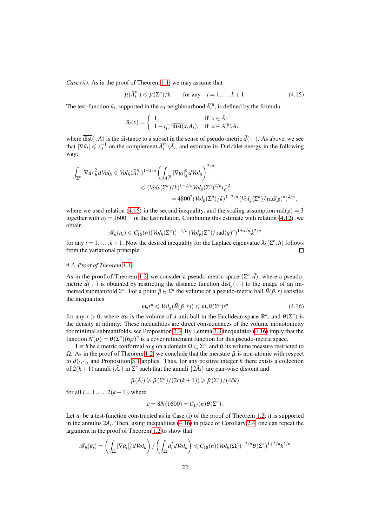*Case (ii).* As in the proof of Theorem [1.1,](#page-1-0) we may assume that

<span id="page-21-0"></span>
$$
\mu(\bar{A}_i^{r_0}) \leq \mu(\Sigma^n)/k \qquad \text{for any} \quad i = 1, \dots, k+1. \tag{4.15}
$$

The test-function  $\bar{u}_i$ , supported in the  $r_0$ -neighbourhood  $\bar{A}_i^{r_0}$ , is defined by the formula

$$
\bar{u}_i(x) = \begin{cases} 1, & \text{if } x \in \bar{A}_i, \\ 1 - r_0^{-1} \overline{\text{dist}}(x, \bar{A}_i), & \text{if } x \in \bar{A}_i'^n \backslash \bar{A}_i, \end{cases}
$$

where  $\overline{\text{dist}}(\cdot,\overline{A})$  is the distance to a subset in the sense of pseudo-metric  $\overline{d}(\cdot,\cdot)$ . As above, we see that  $|\nabla \bar{u}_i| \le r_0^{-1}$  on the complement  $\bar{A}_i^{r_0}\backslash\bar{A}_i$ , and estimate its Dirichlet energy in the following way:

$$
\int_{\Sigma^n} |\nabla \bar{u}_i|_h^2 dVol_h \leq Vol_h (\bar{A}_i^{r_0})^{1-2/n} \left( \int_{\bar{A}_i^{r_0}} |\nabla \bar{u}_i|_g^n dVol_g \right)^{2/n}
$$
  

$$
\leq (Vol_h (\Sigma^n)/k)^{1-2/n} Vol_g (\Sigma^n)^{2/n} r_0^{-2}
$$
  

$$
= 4800^2 (Vol_h (\Sigma^n)/k)^{1-2/n} (Vol_g (\Sigma^n)/\text{rad}(g)^n)^{2/n},
$$

where we used relation [\(4.15\)](#page-21-0) in the second inequality, and the scaling assumption  $rad(g) = 3$ together with  $r_0 = 1600^{-1}$  in the last relation. Combining this estimate with relation [\(4.12\)](#page-20-1), we obtain

$$
\mathscr{R}_h(\bar{u}_i) \leqslant C_{16}(n) \left(\text{Vol}_h(\Sigma^n)\right)^{-2/n} \left(\text{Vol}_g(\Sigma^n)/\text{rad}(g)^n\right)^{1+2/n} k^{2/n}
$$

for any  $i = 1, ..., k + 1$ . Now the desired inequality for the Laplace eigenvalue  $\lambda_k(\Sigma^n, h)$  follows from the variational principle.  $\Box$ 

# *4.3. Proof of Theorem [1.3](#page-3-1)*

As in the proof of Theorem [1.2,](#page-2-1) we consider a pseudo-metric space  $(\Sigma^n, \bar{d})$ , where a pseudometric  $\bar{d}(\cdot,\cdot)$  is obtained by restricting the distance function dist<sub>g</sub> $(\cdot,\cdot)$  to the image of an immersed submanifold  $\Sigma^n$ . For a point  $\bar{p} \in \Sigma^n$  the volume of a pseudo-metric ball  $\bar{B}(\bar{p}, r)$  satisfies the inequalities

<span id="page-21-1"></span>
$$
\omega_n r^n \leqslant Vol_g(\bar{B}(\bar{p},r)) \leqslant \omega_n \theta(\Sigma^n) r^n \tag{4.16}
$$

for any  $r > 0$ , where  $\omega_n$  is the volume of a unit ball in the Euclidean space  $\mathbb{R}^n$ , and  $\theta(\Sigma^n)$  is the density at infinity. These inequalities are direct consequences of the volume monotonicity for minimal submanifolds, see Proposition [2.3.](#page-8-1) By Lemma [3.3](#page-14-1) inequalities [\(4.16\)](#page-21-1) imply that the function  $\bar{N}(\rho) = \theta(\Sigma^n)(6\rho)^n$  is a cover refinement function for this pseudo-metric space.

Let *h* be a metric conformal to *g* on a domain  $\Omega \subset \Sigma^n$ , and  $\bar{\mu}$  its volume measure restricted to  $\Omega$ . As in the proof of Theorem [1.2,](#page-2-1) we conclude that the measure  $\bar{\mu}$  is non-atomic with respect to  $\bar{d}(\cdot,\cdot)$ , and Proposition [3.1](#page-13-0) applies. Thus, for any positive integer *k* there exists a collection of  $2(k+1)$  annuli  $\{\bar{A}_i\}$  in  $\Sigma^n$  such that the annuli  $\{2\bar{A}_i\}$  are pair-wise disjoint and

$$
\bar{\mu}(\bar{A}_i) \ge \bar{\mu}(\Sigma^n)/(2c(k+1)) \ge \bar{\mu}(\Sigma^n)/(4\bar{c}k)
$$

for all  $i = 1, \ldots, 2(k+1)$ , where

$$
\bar{c} = 8\bar{N}(1600) = C_{17}(n)\theta(\Sigma^n).
$$

Let  $\bar{u}_i$  be a test-function constructed as in Case (i) of the proof of Theorem [1.2;](#page-2-1) it is supported in the annulus  $2\overline{A}_i$ . Then, using inequalities [\(4.16\)](#page-21-1) in place of Corollary [2.4,](#page-9-1) one can repeat the argument in the proof of Theorem [1.2](#page-2-1) to show that

$$
\mathscr{R}_h(\bar{u}_i) = \left(\int_{\Omega} |\nabla \bar{u}_i|_h^2 dVol_h\right) / \left(\int_{\Omega} \bar{u}_i^2 dVol_h\right) \leqslant C_{18}(n) (Vol_h(\Omega))^{-2/n} \theta(\Sigma^n)^{1+2/n} k^{2/n}
$$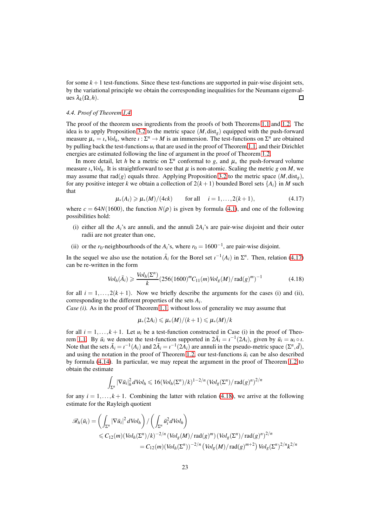for some  $k+1$  test-functions. Since these test-functions are supported in pair-wise disjoint sets, by the variational principle we obtain the corresponding inequalities for the Neumann eigenvalues  $\lambda_k(\Omega,h)$ .  $\Box$ 

# *4.4. Proof of Theorem [1.4](#page-4-0)*

The proof of the theorem uses ingredients from the proofs of both Theorems [1.1](#page-1-0) and [1.2.](#page-2-1) The idea is to apply Proposition [3.2](#page-13-1) to the metric space  $(M, \text{dist}_g)$  equipped with the push-forward measure  $\mu_* = \iota_* \text{Vol}_h$ , where  $\iota : \Sigma^n \to M$  is an immersion. The test-functions on  $\Sigma^n$  are obtained by pulling back the test-functions  $u_i$  that are used in the proof of Theorem [1.1,](#page-1-0) and their Dirichlet energies are estimated following the line of argument in the proof of Theorem [1.2.](#page-2-1)

In more detail, let *h* be a metric on  $\Sigma<sup>n</sup>$  conformal to *g*, and  $\mu_*$  the push-forward volume measure  $\iota_* \text{Vol}_h$ . It is straightforward to see that  $\mu$  is non-atomic. Scaling the metric *g* on *M*, we may assume that  $rad(g)$  equals three. Applying Proposition [3.2](#page-13-1) to the metric space  $(M, dist<sub>g</sub>)$ , for any positive integer *k* we obtain a collection of  $2(k+1)$  bounded Borel sets  $\{A_i\}$  in *M* such that

<span id="page-22-0"></span>
$$
\mu_*(A_i) \ge \mu_*(M)/(4ck)
$$
 for all  $i = 1,...,2(k+1),$  (4.17)

where  $c = 64N(1600)$ , the function  $N(\rho)$  is given by formula [\(4.1\)](#page-17-1), and one of the following possibilities hold:

- (i) either all the  $A_i$ 's are annuli, and the annuli  $2A_i$ 's are pair-wise disjoint and their outer radii are not greater than one,
- (ii) or the *r*<sub>0</sub>-neighbourhoods of the *A*<sup>*i*</sup>s, where *r*<sub>0</sub> = 1600<sup>-1</sup>, are pair-wise disjoint.

In the sequel we also use the notation  $\bar{A}_i$  for the Borel set  $\iota^{-1}(A_i)$  in  $\Sigma^n$ . Then, relation [\(4.17\)](#page-22-0) can be re-written in the form

<span id="page-22-1"></span>
$$
Vol_h(\bar{A}_i) \geqslant \frac{Vol_h(\Sigma^n)}{k} (256(1600)^m C_{11}(m) Vol_g(M) / \operatorname{rad}(g)^m)^{-1}
$$
(4.18)

for all  $i = 1, \ldots, 2(k + 1)$ . Now we briefly describe the arguments for the cases (i) and (ii), corresponding to the different properties of the sets *A<sup>i</sup>* .

*Case (i).* As in the proof of Theorem [1.1,](#page-1-0) without loss of generality we may assume that

$$
\mu_*(2A_i)\leqslant\mu_*(M)/(k+1)\leqslant\mu_*(M)/k
$$

for all  $i = 1, \ldots, k + 1$ . Let  $u_i$  be a test-function constructed in Case (i) in the proof of Theo-rem [1.1.](#page-1-0) By  $\bar{u}_i$  we denote the test-function supported in  $2\bar{A}_i = i^{-1}(2A_i)$ , given by  $\bar{u}_i = u_i \circ \bar{u}_i$ Note that the sets  $\bar{A}_i = i^{-1}(A_i)$  and  $2\bar{A}_i = i^{-1}(2\bar{A}_i)$  are annuli in the pseudo-metric space  $(\Sigma^n, \bar{d})$ , and using the notation in the proof of Theorem [1.2,](#page-2-1) our test-functions  $\bar{u}_i$  can be also described by formula [\(4.14\)](#page-20-2). In particular, we may repeat the argument in the proof of Theorem [1.2](#page-2-1) to obtain the estimate

$$
\int_{\Sigma^n} |\nabla \bar{u}_i|_h^2 dVol_h \leqslant 16 (Vol_h(\Sigma^n)/k)^{1-2/n} (Vol_g(\Sigma^n)/\operatorname{rad}(g)^n)^{2/n}
$$

for any  $i = 1, \ldots, k + 1$ . Combining the latter with relation [\(4.18\)](#page-22-1), we arrive at the following estimate for the Rayleigh quotient

$$
\mathscr{R}_{h}(\bar{u}_{i}) = \left(\int_{\Sigma^{n}} |\nabla \bar{u}_{i}|^{2} dVol_{h}\right) / \left(\int_{\Sigma^{n}} \bar{u}_{i}^{2} dVol_{h}\right)
$$
  
\n
$$
\leq C_{12}(m) (Vol_{h}(\Sigma^{n})/k)^{-2/n} (Vol_{g}(M)/\text{rad}(g)^{m}) (Vol_{g}(\Sigma^{n})/\text{rad}(g)^{n})^{2/n}
$$
  
\n
$$
= C_{12}(m) (Vol_{h}(\Sigma^{n}))^{-2/n} (Vol_{g}(M)/\text{rad}(g)^{m+2}) Vol_{g}(\Sigma^{n})^{2/n} k^{2/n}
$$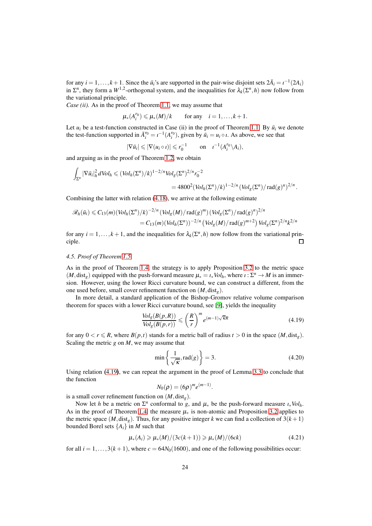for any  $i = 1, ..., k + 1$ . Since the  $\bar{u}_i$ 's are supported in the pair-wise disjoint sets  $2\bar{A}_i = i^{-1}(2A_i)$ in  $\Sigma^n$ , they form a  $W^{1,2}$ -orthogonal system, and the inequalities for  $\lambda_k(\Sigma^n, h)$  now follow from the variational principle.

*Case (ii).* As in the proof of Theorem [1.1,](#page-1-0) we may assume that

 $\mu_*(A_i^{r_0}) \le \mu_*(M)/k$  for any *i* = 1,...,*k* + 1.

Let  $u_i$  be a test-function constructed in Case (ii) in the proof of Theorem [1.1.](#page-1-0) By  $\bar{u}_i$  we denote the test-function supported in  $\bar{A}_i^{r_0} = i^{-1}(A_i^{r_0})$ , given by  $\bar{u}_i = u_i \circ i$ . As above, we see that

$$
|\nabla \bar{u}_i| \leq |\nabla (u_i \circ \iota)| \leq r_0^{-1} \qquad \text{on} \quad \iota^{-1}(A_i^{r_0} \backslash A_i),
$$

and arguing as in the proof of Theorem [1.2,](#page-2-1) we obtain

$$
\int_{\Sigma^n} |\nabla \bar{u}_i|_h^2 dVol_h \leq (Vol_h(\Sigma^n)/k)^{1-2/n} Vol_g(\Sigma^n)^{2/n} r_0^{-2}
$$
  
=  $4800^2 (Vol_h(\Sigma^n)/k)^{1-2/n} (Vol_g(\Sigma^n)/\text{rad}(g)^n)^{2/n}.$ 

Combining the latter with relation [\(4.18\)](#page-22-1), we arrive at the following estimate

$$
\mathscr{R}_{h}(\bar{u}_{i}) \leq C_{13}(m)(Vol_{h}(\Sigma^{n})/k)^{-2/n} (Vol_{g}(M)/\text{rad}(g)^{m}) (Vol_{g}(\Sigma^{n})/\text{rad}(g)^{n})^{2/n}
$$
  
=  $C_{13}(m)(Vol_{h}(\Sigma^{n}))^{-2/n} (Vol_{g}(M)/\text{rad}(g)^{m+2}) Vol_{g}(\Sigma^{n})^{2/n} k^{2/n}$ 

for any  $i = 1, ..., k + 1$ , and the inequalities for  $\lambda_k(\Sigma^n, h)$  now follow from the variational principle.  $\Box$ 

## *4.5. Proof of Theorem [1.5](#page-4-1)*

As in the proof of Theorem [1.4,](#page-4-0) the strategy is to apply Proposition [3.2](#page-13-1) to the metric space  $(M, dist_g)$  equipped with the push-forward measure  $\mu_* = \iota_* Vol_h$ , where  $\iota : \Sigma^n \to M$  is an immersion. However, using the lower Ricci curvature bound, we can construct a different, from the one used before, small cover refinement function on  $(M, dist_g)$ .

In more detail, a standard application of the Bishop-Gromov relative volume comparison theorem for spaces with a lower Ricci curvature bound, see [\[9\]](#page-26-16), yields the inequality

<span id="page-23-0"></span>
$$
\frac{Vol_{g}(B(p,R))}{Vol_{g}(B(p,r))} \leqslant \left(\frac{R}{r}\right)^{m} e^{(m-1)\sqrt{\kappa}R}
$$
\n(4.19)

for any  $0 < r \le R$ , where  $B(p, t)$  stands for a metric ball of radius  $t > 0$  in the space  $(M, \text{dist}_g)$ . Scaling the metric *g* on *M*, we may assume that

<span id="page-23-2"></span>
$$
\min\left\{\frac{1}{\sqrt{\kappa}}, \text{rad}(g)\right\} = 3. \tag{4.20}
$$

Using relation [\(4.19\)](#page-23-0), we can repeat the argument in the proof of Lemma [3.3](#page-14-1) to conclude that the function

$$
N_0(\rho) = (6\rho)^m e^{(m-1)}.
$$

is a small cover refinement function on  $(M, dist<sub>e</sub>)$ .

Now let *h* be a metric on  $\Sigma^n$  conformal to *g*, and  $\mu_*$  be the push-forward measure  $\iota_* Vol_h$ . As in the proof of Theorem [1.4,](#page-4-0) the measure  $\mu_*$  is non-atomic and Proposition [3.2](#page-13-1) applies to the metric space  $(M, dist<sub>g</sub>)$ . Thus, for any positive integer *k* we can find a collection of  $3(k + 1)$ bounded Borel sets  $\{A_i\}$  in *M* such that

<span id="page-23-1"></span>
$$
\mu_*(A_i) \ge \mu_*(M)/(3c(k+1)) \ge \mu_*(M)/(6ck)
$$
\n(4.21)

for all  $i = 1, ..., 3(k + 1)$ , where  $c = 64N_0(1600)$ , and one of the following possibilities occur: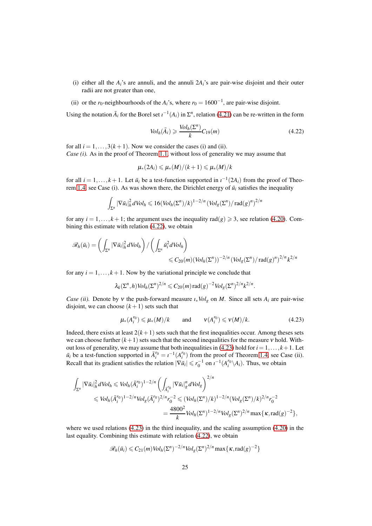- (i) either all the  $A_i$ 's are annuli, and the annuli  $2A_i$ 's are pair-wise disjoint and their outer radii are not greater than one,
- (ii) or the *r*<sub>0</sub>-neighbourhoods of the *A*<sup>*i*</sup>s, where *r*<sub>0</sub> = 1600<sup>-1</sup>, are pair-wise disjoint.

Using the notation  $\bar{A}_i$  for the Borel set  $\iota^{-1}(A_i)$  in  $\Sigma^n$ , relation [\(4.21\)](#page-23-1) can be re-written in the form

<span id="page-24-0"></span>
$$
Vol_h(\bar{A}_i) \geqslant \frac{Vol_h(\Sigma^n)}{k} C_{19}(m) \tag{4.22}
$$

for all  $i = 1, ..., 3(k + 1)$ . Now we consider the cases (i) and (ii). *Case (i).* As in the proof of Theorem [1.1,](#page-1-0) without loss of generality we may assume that

$$
\mu_*(2A_i)\leqslant\mu_*(M)/(k+1)\leqslant\mu_*(M)/k
$$

for all  $i = 1, ..., k + 1$ . Let  $\bar{u}_i$  be a test-function supported in  $\iota^{-1}(2A_i)$  from the proof of Theo-rem [1.4,](#page-4-0) see Case (i). As was shown there, the Dirichlet energy of  $\bar{u}_i$  satisfies the inequality

$$
\int_{\Sigma^n} |\nabla \bar{u}_i|_h^2 dVol_h \leq 16 (Vol_h(\Sigma^n)/k)^{1-2/n} (Vol_g(\Sigma^n)/\operatorname{rad}(g)^n)^{2/n}
$$

for any  $i = 1, \ldots, k+1$ ; the argument uses the inequality rad( $g$ )  $\geq 3$ , see relation [\(4.20\)](#page-23-2). Combining this estimate with relation [\(4.22\)](#page-24-0), we obtain

$$
\mathscr{R}_h(\bar{u}_i) = \left( \int_{\Sigma^n} |\nabla \bar{u}_i|_h^2 dVol_h \right) / \left( \int_{\Sigma^n} \bar{u}_i^2 dVol_h \right) \leq C_{20}(m) (Vol_h(\Sigma^n))^{-2/n} (Vol_g(\Sigma^n)/\operatorname{rad}(g)^n)^{2/n} k^{2/n}
$$

for any  $i = 1, \ldots, k + 1$ . Now by the variational principle we conclude that

$$
\lambda_k(\Sigma^n,h) \text{Vol}_h(\Sigma^n)^{2/n} \leqslant C_{20}(m) \operatorname{rad}(g)^{-2} \text{Vol}_g(\Sigma^n)^{2/n} k^{2/n}.
$$

*Case (ii).* Denote by v the push-forward measure  $\iota_* \text{Vol}_g$  on *M*. Since all sets  $A_i$  are pair-wise disjoint, we can choose  $(k+1)$  sets such that

<span id="page-24-1"></span>
$$
\mu_*(A_i^{r_0}) \leqslant \mu_*(M)/k \qquad \text{and} \qquad \nu(A_i^{r_0}) \leqslant \nu(M)/k. \tag{4.23}
$$

Indeed, there exists at least  $2(k+1)$  sets such that the first inequalities occur. Among theses sets we can choose further  $(k+1)$  sets such that the second inequalities for the measure v hold. With-out loss of generality, we may assume that both inequalities in [\(4.23\)](#page-24-1) hold for  $i = 1, \ldots, k + 1$ . Let  $\bar{u}_i$  be a test-function supported in  $\bar{A}_i^{r_0} = i^{-1}(A_i^{r_0})$  from the proof of Theorem [1.4,](#page-4-0) see Case (ii). Recall that its gradient satisfies the relation  $|\nabla \bar{u}_i| \le r_0^{-1}$  on  $i^{-1}(A_i^{r_0} \setminus A_i)$ . Thus, we obtain

$$
\int_{\Sigma^n} |\nabla \bar{u}_i|_h^2 dVol_h \leqslant Vol_h (\bar{A}_i^{r_0})^{1-2/n} \left( \int_{\bar{A}_i^{r_0}} |\nabla \bar{u}_i|_g^n dVol_g \right)^{2/n}
$$
  
\n
$$
\leqslant Vol_h (\bar{A}_i^{r_0})^{1-2/n} Vol_g (\bar{A}_i^{r_0})^{2/n} r_0^{-2} \leqslant (Vol_h (\Sigma^n)/k)^{1-2/n} (Vol_g (\Sigma^n)/k)^{2/n} r_0^{-2}
$$
  
\n
$$
= \frac{4800^2}{k} Vol_h (\Sigma^n)^{1-2/n} Vol_g (\Sigma^n)^{2/n} \max \{ \kappa, \text{rad}(g)^{-2} \},
$$

where we used relations  $(4.23)$  in the third inequality, and the scaling assumption  $(4.20)$  in the last equality. Combining this estimate with relation [\(4.22\)](#page-24-0), we obtain

$$
\mathscr{R}_h(\bar{u}_i) \leqslant C_{21}(m) \text{Vol}_h(\Sigma^n)^{-2/n} \text{Vol}_g(\Sigma^n)^{2/n} \max\{\kappa, \text{rad}(g)^{-2}\}\
$$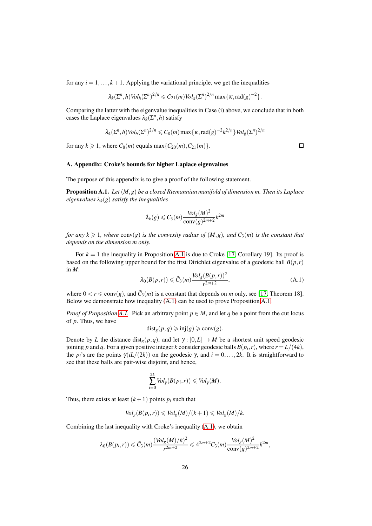for any  $i = 1, \ldots, k+1$ . Applying the variational principle, we get the inequalities

$$
\lambda_k(\Sigma^n,h) \text{Vol}_h(\Sigma^n)^{2/n} \leqslant C_{21}(m) \text{Vol}_g(\Sigma^n)^{2/n} \max\{\kappa,\text{rad}(g)^{-2}\}.
$$

Comparing the latter with the eigenvalue inequalities in Case (i) above, we conclude that in both cases the Laplace eigenvalues  $\lambda_k(\Sigma^n, h)$  satisfy

$$
\lambda_k(\Sigma^n, h) Vol_h(\Sigma^n)^{2/n} \leqslant C_8(m) \max\{\kappa, \text{rad}(g)^{-2} k^{2/n}\} Vol_g(\Sigma^n)^{2/n}
$$

for any  $k \ge 1$ , where  $C_8(m)$  equals max $\{C_{20}(m), C_{21}(m)\}.$ 

## <span id="page-25-0"></span>A. Appendix: Croke's bounds for higher Laplace eigenvalues

The purpose of this appendix is to give a proof of the following statement.

<span id="page-25-1"></span>Proposition A.1. *Let* (*M*,*g*) *be a closed Riemannian manifold of dimension m. Then its Laplace eigenvalues*  $\lambda_k(g)$  *satisfy the inequalities* 

$$
\lambda_k(g) \leqslant C_3(m) \frac{\text{Vol}_g(M)^2}{\text{conv}(g)^{2m+2}} k^{2m}
$$

*for any*  $k \ge 1$ *, where* conv(*g*) *is the convexity radius of*  $(M, g)$ *, and*  $C_3(m)$  *is the constant that depends on the dimension m only.*

For  $k = 1$  the inequality in Proposition [A.1](#page-25-1) is due to Croke [\[17,](#page-26-2) Corollary 19]. Its proof is based on the following upper bound for the first Dirichlet eigenvalue of a geodesic ball *B*(*p*,*r*) in *M*:

<span id="page-25-2"></span>
$$
\lambda_0(B(p,r)) \leqslant \bar{C}_3(m) \frac{\text{Vol}_g(B(p,r))^2}{r^{2m+2}},\tag{A.1}
$$

where  $0 < r \leq \text{conv}(g)$ , and  $\overline{C}_3(m)$  is a constant that depends on *m* only, see [\[17,](#page-26-2) Theorem 18]. Below we demonstrate how inequality [\(A.1\)](#page-25-2) can be used to prove Proposition [A.1.](#page-25-1)

*Proof of Proposition [A.1.](#page-25-1)* Pick an arbitrary point  $p \in M$ , and let q be a point from the cut locus of *p*. Thus, we have

$$
dist_g(p,q) \geqslant inj(g) \geqslant conv(g).
$$

Denote by *L* the distance dist<sub>*e*</sub>(*p*,*q*), and let  $\gamma$ : [0,*L*]  $\rightarrow$  *M* be a shortest unit speed geodesic joining *p* and *q*. For a given positive integer *k* consider geodesic balls  $B(p_i, r)$ , where  $r = L/(4k)$ , the *p<sub>i</sub>*'s are the points  $\gamma(iL/(2k))$  on the geodesic  $\gamma$ , and  $i = 0, \ldots, 2k$ . It is straightforward to see that these balls are pair-wise disjoint, and hence,

$$
\sum_{i=0}^{2k} Vol_g(B(p_i,r)) \leq Vol_g(M).
$$

Thus, there exists at least  $(k+1)$  points  $p_i$  such that

$$
Vol_g(B(p_i, r)) \leqslant Vol_g(M)/(k+1) \leqslant Vol_g(M)/k.
$$

Combining the last inequality with Croke's inequality [\(A.1\)](#page-25-2), we obtain

$$
\lambda_0(B(p_i,r))\leqslant \bar{C}_3(m)\frac{(\hbox{Vol}_g(M)/k)^2}{r^{2m+2}}\leqslant 4^{2m+2}C_3(m)\frac{\hbox{Vol}_g(M)^2}{\hbox{conv}(g)^{2m+2}}k^{2m},
$$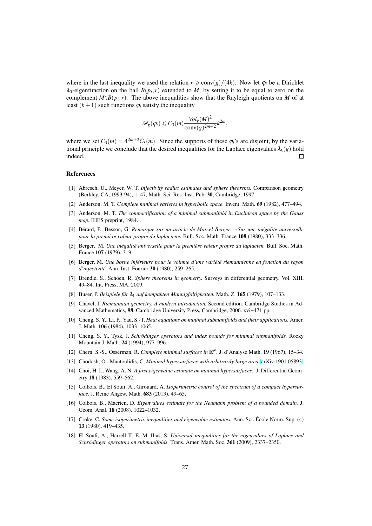where in the last inequality we used the relation  $r \geq \text{conv}(g)/(4k)$ . Now let  $\varphi_i$  be a Dirichlet  $\lambda_0$ -eigenfunction on the ball  $B(p_i, r)$  extended to M, by setting it to be equal to zero on the complement  $M \setminus B(p_i, r)$ . The above inequalities show that the Rayleigh quotients on *M* of at least  $(k+1)$  such functions  $\varphi_i$  satisfy the inequality

$$
\mathscr{R}_g(\varphi_i) \leqslant C_3(m) \frac{\text{Vol}_g(M)^2}{\text{conv}(g)^{2m+2}} k^{2m},
$$

where we set  $C_3(m) = 4^{2m+2} \bar{C}_3(m)$ . Since the supports of these  $\varphi_i$ 's are disjoint, by the variational principle we conclude that the desired inequalities for the Laplace eigenvalues  $\lambda_k(g)$  hold indeed.  $\Box$ 

## <span id="page-26-14"></span>References

- [1] Abresch, U., Meyer, W. T. *Injectivity radius estimates and sphere theorems.* Comparison geometry (Berkley, CA, 1993-94), 1–47, Math. Sci. Res. Inst. Pub. 30, Cambridge, 1997.
- <span id="page-26-8"></span><span id="page-26-6"></span>[2] Anderson, M. T. *Complete minimal varietes in hyperbolic space.* Invent. Math. 69 (1982), 477–494.
- [3] Anderson, M. T. *The compactification of a minimal submanifold in Euclidean space by the Gauss map.* IHES preprint, 1984.
- <span id="page-26-1"></span>[4] Bérard, P., Besson, G. *Remarque sur un article de Marcel Berger: «Sur une inégalité universelle pour la première valeur propre du laplacien».* Bull. Soc. Math. France 108 (1980), 333–336.
- <span id="page-26-0"></span>[5] Berger, M. *Une inégalité universelle pour la première valeur propre du laplacien.* Bull. Soc. Math. France 107 (1979), 3–9.
- <span id="page-26-3"></span>[6] Berger, M. *Une borne inférieure pour le volume d'une variété riemannienne en fonction du rayon d'injectivité.* Ann. Inst. Fourier 30 (1980), 259–265.
- <span id="page-26-15"></span>[7] Brendle, S., Schoen, R. *Sphere theorems in geometry.* Surveys in differential geometry. Vol. XIII, 49–84. Int. Press, MA, 2009.
- <span id="page-26-16"></span><span id="page-26-5"></span>[8] Buser, P. *Beispiele für* <sup>λ</sup><sup>1</sup> *auf kompakten Mannigfaltigkeiten.* Math. Z. 165 (1979), 107–133.
- [9] Chavel, I. *Riemannian geometry. A modern introduction.* Second edition. Cambridge Studies in Advanced Mathematics, 98. Cambridge University Press, Cambridge, 2006. xvi+471 pp.
- <span id="page-26-9"></span>[10] Cheng, S. Y., Li, P., Yau, S.-T. *Heat equations on minimal submanifolds and their applications.* Amer. J. Math. 106 (1984), 1033–1065.
- <span id="page-26-11"></span>[11] Cheng, S. Y., Tysk, J. *Schrödinger operators and index bounds for minimal submanifolds.* Rocky Mountain J. Math. 24 (1994), 977–996.
- <span id="page-26-12"></span><span id="page-26-7"></span>[12] Chern, S.-S., Osserman, R. *Complete minimal surfaces in* E *<sup>N</sup>.* J. d'Analyse Math. 19 (1967), 15–34.
- <span id="page-26-13"></span>[13] Chodosh, O., Mantoulidis, C. *Minimal hypersurfaces with arbitrarily large area.* [arXiv:1901.05893.](http://arxiv.org/abs/1901.05893)
- [14] Choi, H. I., Wang, A. N. *A first eigenvalue estimate on minimal hypersurfaces.* J. Differential Geometry 18 (1983), 559–562.
- <span id="page-26-17"></span>[15] Colbois, B., El Soufi, A., Girouard, A. *Isoperimetric control of the spectrum of a compact hypersurface.* J. Reine Angew. Math. 683 (2013), 49–65.
- <span id="page-26-4"></span>[16] Colbois, B., Maerten, D. *Eigenvalues estimate for the Neumann problem of a bounded domain.* J. Geom. Anal. 18 (2008), 1022–1032.
- <span id="page-26-2"></span>[17] Croke, C. *Some isoperimetric inequalities and eigenvalue estimates.* Ann. Sci. École Norm. Sup. (4) 13 (1980), 419–435.
- <span id="page-26-10"></span>[18] El Soufi, A., Harrell II, E. M. Ilias, S. *Universal inequalities for the eigenvalues of Laplace and Schrödinger operators on submanifolds.* Trans. Amer. Math. Soc. 361 (2009), 2337–2350.